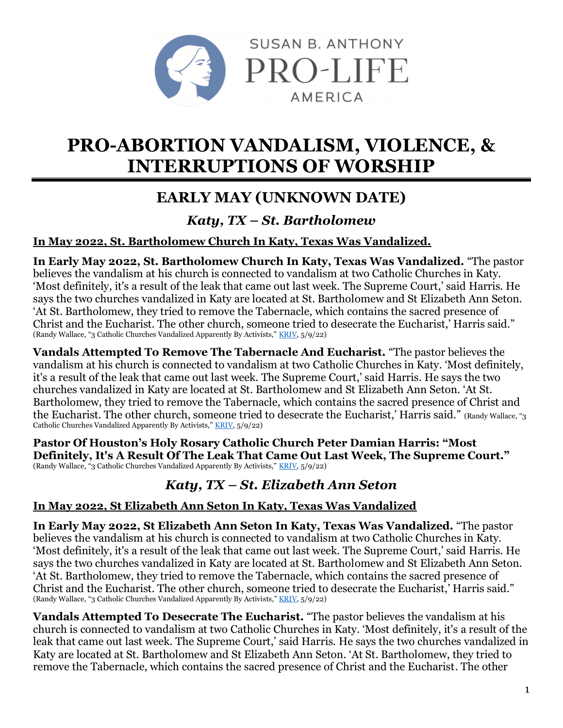

# **PRO-ABORTION VANDALISM, VIOLENCE, & INTERRUPTIONS OF WORSHIP**

# **EARLY MAY (UNKNOWN DATE)**

### *Katy, TX – St. Bartholomew*

### **In May 2022, St. Bartholomew Church In Katy, Texas Was Vandalized.**

**In Early May 2022, St. Bartholomew Church In Katy, Texas Was Vandalized.** "The pastor believes the vandalism at his church is connected to vandalism at two Catholic Churches in Katy. 'Most definitely, it's a result of the leak that came out last week. The Supreme Court,' said Harris. He says the two churches vandalized in Katy are located at St. Bartholomew and St Elizabeth Ann Seton. 'At St. Bartholomew, they tried to remove the Tabernacle, which contains the sacred presence of Christ and the Eucharist. The other church, someone tried to desecrate the Eucharist,' Harris said." (Randy Wallace, "3 Catholic Churches Vandalized Apparently By Activists," [KRIV,](https://www.fox26houston.com/news/3-catholic-churches-vandalized-apparently-by-activists) 5/9/22)

**Vandals Attempted To Remove The Tabernacle And Eucharist.** "The pastor believes the vandalism at his church is connected to vandalism at two Catholic Churches in Katy. 'Most definitely, it's a result of the leak that came out last week. The Supreme Court,' said Harris. He says the two churches vandalized in Katy are located at St. Bartholomew and St Elizabeth Ann Seton. 'At St. Bartholomew, they tried to remove the Tabernacle, which contains the sacred presence of Christ and the Eucharist. The other church, someone tried to desecrate the Eucharist,' Harris said." (Randy Wallace, "3 Catholic Churches Vandalized Apparently By Activists," [KRIV,](https://www.fox26houston.com/news/3-catholic-churches-vandalized-apparently-by-activists) 5/9/22)

**Pastor Of Houston's Holy Rosary Catholic Church Peter Damian Harris: "Most Definitely, It's A Result Of The Leak That Came Out Last Week, The Supreme Court."** (Randy Wallace, "3 Catholic Churches Vandalized Apparently By Activists," [KRIV,](https://www.fox26houston.com/news/3-catholic-churches-vandalized-apparently-by-activists) 5/9/22)

# *Katy, TX – St. Elizabeth Ann Seton*

### **In May 2022, St Elizabeth Ann Seton In Katy, Texas Was Vandalized**

**In Early May 2022, St Elizabeth Ann Seton In Katy, Texas Was Vandalized.** "The pastor believes the vandalism at his church is connected to vandalism at two Catholic Churches in Katy. 'Most definitely, it's a result of the leak that came out last week. The Supreme Court,' said Harris. He says the two churches vandalized in Katy are located at St. Bartholomew and St Elizabeth Ann Seton. 'At St. Bartholomew, they tried to remove the Tabernacle, which contains the sacred presence of Christ and the Eucharist. The other church, someone tried to desecrate the Eucharist,' Harris said." (Randy Wallace, "3 Catholic Churches Vandalized Apparently By Activists," [KRIV,](https://www.fox26houston.com/news/3-catholic-churches-vandalized-apparently-by-activists) 5/9/22)

**Vandals Attempted To Desecrate The Eucharist.** "The pastor believes the vandalism at his church is connected to vandalism at two Catholic Churches in Katy. 'Most definitely, it's a result of the leak that came out last week. The Supreme Court,' said Harris. He says the two churches vandalized in Katy are located at St. Bartholomew and St Elizabeth Ann Seton. 'At St. Bartholomew, they tried to remove the Tabernacle, which contains the sacred presence of Christ and the Eucharist. The other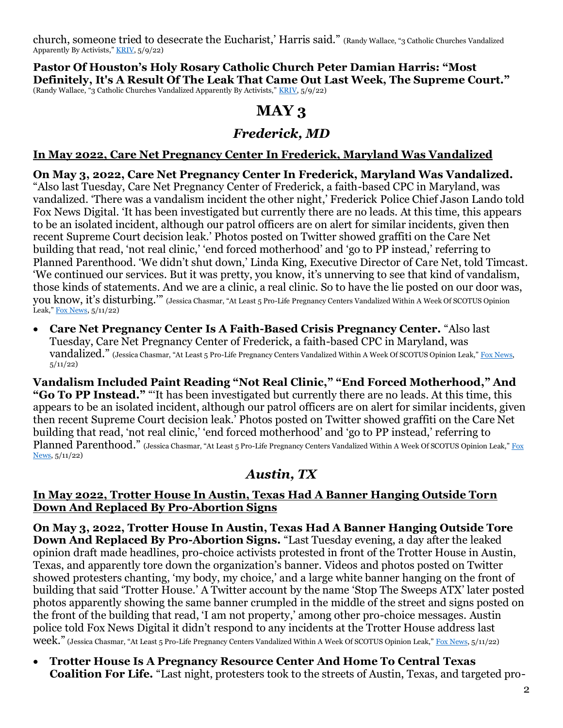church, someone tried to desecrate the Eucharist,' Harris said." (Randy Wallace, "3 Catholic Churches Vandalized Apparently By Activists," [KRIV,](https://www.fox26houston.com/news/3-catholic-churches-vandalized-apparently-by-activists) 5/9/22)

**Pastor Of Houston's Holy Rosary Catholic Church Peter Damian Harris: "Most Definitely, It's A Result Of The Leak That Came Out Last Week, The Supreme Court."** (Randy Wallace, "3 Catholic Churches Vandalized Apparently By Activists," [KRIV,](https://www.fox26houston.com/news/3-catholic-churches-vandalized-apparently-by-activists) 5/9/22)

## **MAY 3**

### *Frederick, MD*

### **In May 2022, Care Net Pregnancy Center In Frederick, Maryland Was Vandalized**

## **On May 3, 2022, Care Net Pregnancy Center In Frederick, Maryland Was Vandalized.**

"Also last Tuesday, Care Net Pregnancy Center of Frederick, a faith-based CPC in Maryland, was vandalized. 'There was a vandalism incident the other night,' Frederick Police Chief Jason Lando told Fox News Digital. 'It has been investigated but currently there are no leads. At this time, this appears to be an isolated incident, although our patrol officers are on alert for similar incidents, given then recent Supreme Court decision leak.' Photos posted on Twitter showed graffiti on the Care Net building that read, 'not real clinic,' 'end forced motherhood' and 'go to PP instead,' referring to Planned Parenthood. 'We didn't shut down,' Linda King, Executive Director of Care Net, told Timcast. 'We continued our services. But it was pretty, you know, it's unnerving to see that kind of vandalism, those kinds of statements. And we are a clinic, a real clinic. So to have the lie posted on our door was, you know, it's disturbing.'" (Jessica Chasmar, "At Least 5 Pro-Life Pregnancy Centers Vandalized Within A Week Of SCOTUS Opinion Leak,"  $\frac{F_{OX}}{F_{OX}}$  News,  $\frac{5}{11}{22}$ 

• **Care Net Pregnancy Center Is A Faith-Based Crisis Pregnancy Center.** "Also last Tuesday, Care Net Pregnancy Center of Frederick, a faith-based CPC in Maryland, was vandalized." (Jessica Chasmar, "At Least 5 Pro-Life Pregnancy Centers Vandalized Within A Week Of SCOTUS Opinion Leak," Fox News,  $5/11/22)$ 

**Vandalism Included Paint Reading "Not Real Clinic," "End Forced Motherhood," And "Go To PP Instead."** "'It has been investigated but currently there are no leads. At this time, this appears to be an isolated incident, although our patrol officers are on alert for similar incidents, given then recent Supreme Court decision leak.' Photos posted on Twitter showed graffiti on the Care Net building that read, 'not real clinic,' 'end forced motherhood' and 'go to PP instead,' referring to Planned Parenthood." (Jessica Chasmar, "At Least 5 Pro-Life Pregnancy Centers Vandalized Within A Week Of SCOTUS Opinion Leak," Fox [News,](https://www.foxnews.com/politics/5-pro-life-pregnancy-centers-vandalized-scotus-leak) 5/11/22)

### *Austin, TX*

#### **In May 2022, Trotter House In Austin, Texas Had A Banner Hanging Outside Torn Down And Replaced By Pro-Abortion Signs**

**On May 3, 2022, Trotter House In Austin, Texas Had A Banner Hanging Outside Tore Down And Replaced By Pro-Abortion Signs.** "Last Tuesday evening, a day after the leaked opinion draft made headlines, pro-choice activists protested in front of the Trotter House in Austin, Texas, and apparently tore down the organization's banner. Videos and photos posted on Twitter showed protesters chanting, 'my body, my choice,' and a large white banner hanging on the front of building that said 'Trotter House.' A Twitter account by the name 'Stop The Sweeps ATX' later posted photos apparently showing the same banner crumpled in the middle of the street and signs posted on the front of the building that read, 'I am not property,' among other pro-choice messages. Austin police told Fox News Digital it didn't respond to any incidents at the Trotter House address last week." (Jessica Chasmar, "At Least 5 Pro-Life Pregnancy Centers Vandalized Within A Week Of SCOTUS Opinion Leak," [Fox News,](https://www.foxnews.com/politics/5-pro-life-pregnancy-centers-vandalized-scotus-leak) 5/11/22)

• **Trotter House Is A Pregnancy Resource Center And Home To Central Texas Coalition For Life.** "Last night, protesters took to the streets of Austin, Texas, and targeted pro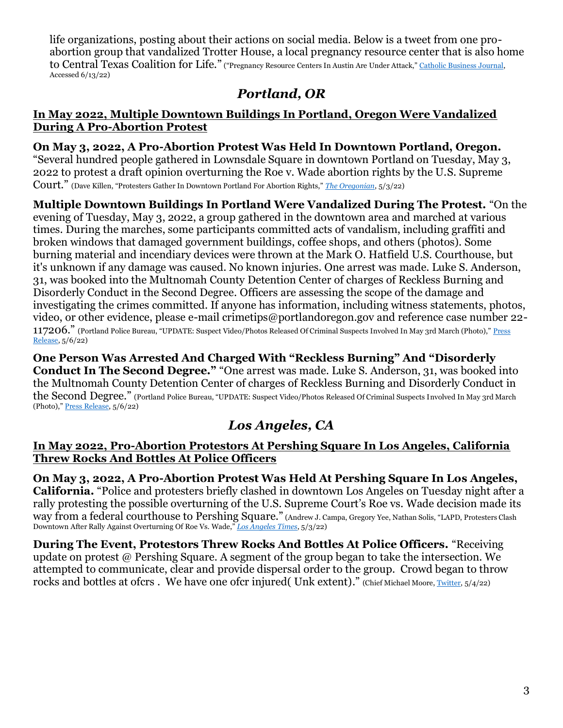life organizations, posting about their actions on social media. Below is a tweet from one proabortion group that vandalized Trotter House, a local pregnancy resource center that is also home to Central Texas Coalition for Life." ("Pregnancy Resource Centers In Austin Are Under Attack," [Catholic Business Journal,](https://www.catholicbusinessjournal.com/news/life-and-liberty/csr-catholic-social-responsibility/life-issues/pregnancy-resource-centers-in-austin-are-under-attack/)  Accessed 6/13/22)

## *Portland, OR*

#### **In May 2022, Multiple Downtown Buildings In Portland, Oregon Were Vandalized During A Pro-Abortion Protest**

**On May 3, 2022, A Pro-Abortion Protest Was Held In Downtown Portland, Oregon.**  "Several hundred people gathered in Lownsdale Square in downtown Portland on Tuesday, May 3, 2022 to protest a draft opinion overturning the Roe v. Wade abortion rights by the U.S. Supreme Court." (Dave Killen, "Protesters Gather In Downtown Portland For Abortion Rights," *[The Oregonian](https://www.oregonlive.com/galleries/3GVEETS6HJACRC24YQU5IFYNK4/)*, 5/3/22)

**Multiple Downtown Buildings In Portland Were Vandalized During The Protest.** "On the evening of Tuesday, May 3, 2022, a group gathered in the downtown area and marched at various times. During the marches, some participants committed acts of vandalism, including graffiti and broken windows that damaged government buildings, coffee shops, and others (photos). Some burning material and incendiary devices were thrown at the Mark O. Hatfield U.S. Courthouse, but it's unknown if any damage was caused. No known injuries. One arrest was made. Luke S. Anderson, 31, was booked into the Multnomah County Detention Center of charges of Reckless Burning and Disorderly Conduct in the Second Degree. Officers are assessing the scope of the damage and investigating the crimes committed. If anyone has information, including witness statements, photos, video, or other evidence, please e-mail crimetips@portlandoregon.gov and reference case number 22- 117206." (Portland Police Bureau, "UPDATE: Suspect Video/Photos Released Of Criminal Suspects Involved In May 3rd March (Photo)," Press [Release,](https://www.portlandoregon.gov/police/news/read.cfm?id=412297&ec=2&ch=twitter) 5/6/22)

**One Person Was Arrested And Charged With "Reckless Burning" And "Disorderly Conduct In The Second Degree."** "One arrest was made. Luke S. Anderson, 31, was booked into the Multnomah County Detention Center of charges of Reckless Burning and Disorderly Conduct in the Second Degree." (Portland Police Bureau, "UPDATE: Suspect Video/Photos Released Of Criminal Suspects Involved In May 3rd March (Photo)," [Press Release,](https://www.portlandoregon.gov/police/news/read.cfm?id=412297&ec=2&ch=twitter) 5/6/22)

# *Los Angeles, CA*

#### **In May 2022, Pro-Abortion Protestors At Pershing Square In Los Angeles, California Threw Rocks And Bottles At Police Officers**

**On May 3, 2022, A Pro-Abortion Protest Was Held At Pershing Square In Los Angeles, California.** "Police and protesters briefly clashed in downtown Los Angeles on Tuesday night after a rally protesting the possible overturning of the U.S. Supreme Court's Roe vs. Wade decision made its way from a federal courthouse to Pershing Square." (Andrew J. Campa, Gregory Yee, Nathan Solis, "LAPD, Protesters Clash Downtown After Rally Against Overturning Of Roe Vs. Wade," *[Los Angeles Times](https://www.latimes.com/california/story/2022-05-03/downtown-los-angeles-roe-wade-protest)*, 5/3/22)

**During The Event, Protestors Threw Rocks And Bottles At Police Officers.** "Receiving update on protest @ Pershing Square. A segment of the group began to take the intersection. We attempted to communicate, clear and provide dispersal order to the group. Crowd began to throw rocks and bottles at ofcrs. We have one ofcr injured( Unk extent)." (Chief Michael Moore[, Twitter,](https://twitter.com/LAPDChiefMoore/status/1521702725230022657?ref_src=twsrc%5Etfw%7Ctwcamp%5Etweetembed%7Ctwterm%5E1521702725230022657%7Ctwgr%5E%7Ctwcon%5Es1_&ref_url=https%3A%2F%2Fwww.liveaction.org%2Fnews%2Fpro-abortion-protests-violent-los-angeles%2F) 5/4/22)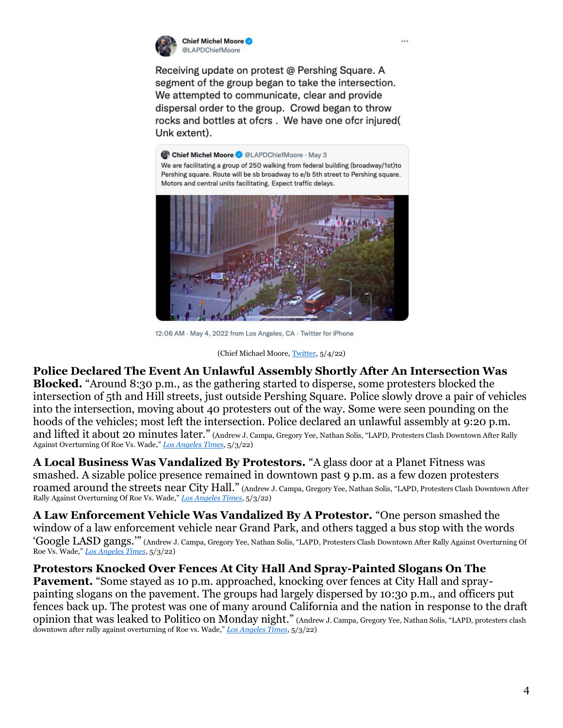

Chief Michel Moore @LAPDChiefMoore

Receiving update on protest @ Pershing Square, A segment of the group began to take the intersection. We attempted to communicate, clear and provide dispersal order to the group. Crowd began to throw rocks and bottles at ofcrs. We have one ofcr injured( Unk extent).

Chief Michel Moore @ @LAPDChiefMoore · May 3 We are facilitating a group of 250 walking from federal building (broadway/1st)to Pershing square. Route will be sb broadway to e/b 5th street to Pershing square. Motors and central units facilitating. Expect traffic delays.



12:06 AM · May 4, 2022 from Los Angeles, CA · Twitter for iPhone

#### (Chief Michael Moore[, Twitter,](https://twitter.com/LAPDChiefMoore/status/1521702725230022657?ref_src=twsrc%5Etfw%7Ctwcamp%5Etweetembed%7Ctwterm%5E1521702725230022657%7Ctwgr%5E%7Ctwcon%5Es1_&ref_url=https%3A%2F%2Fwww.liveaction.org%2Fnews%2Fpro-abortion-protests-violent-los-angeles%2F) 5/4/22)

**Police Declared The Event An Unlawful Assembly Shortly After An Intersection Was Blocked.** "Around 8:30 p.m., as the gathering started to disperse, some protesters blocked the intersection of 5th and Hill streets, just outside Pershing Square. Police slowly drove a pair of vehicles into the intersection, moving about 40 protesters out of the way. Some were seen pounding on the hoods of the vehicles; most left the intersection. Police declared an unlawful assembly at 9:20 p.m. and lifted it about 20 minutes later." (Andrew J. Campa, Gregory Yee, Nathan Solis, "LAPD, Protesters Clash Downtown After Rally Against Overturning Of Roe Vs. Wade," *[Los Angeles Times](https://www.latimes.com/california/story/2022-05-03/downtown-los-angeles-roe-wade-protest)*, 5/3/22)

**A Local Business Was Vandalized By Protestors.** "A glass door at a Planet Fitness was smashed. A sizable police presence remained in downtown past 9 p.m. as a few dozen protesters roamed around the streets near City Hall." (Andrew J. Campa, Gregory Yee, Nathan Solis, "LAPD, Protesters Clash Downtown After Rally Against Overturning Of Roe Vs. Wade," *[Los Angeles Times](https://www.latimes.com/california/story/2022-05-03/downtown-los-angeles-roe-wade-protest)*, 5/3/22)

**A Law Enforcement Vehicle Was Vandalized By A Protestor.** "One person smashed the window of a law enforcement vehicle near Grand Park, and others tagged a bus stop with the words 'Google LASD gangs.'" (Andrew J. Campa, Gregory Yee, Nathan Solis, "LAPD, Protesters Clash Downtown After Rally Against Overturning Of Roe Vs. Wade," *[Los Angeles Times](https://www.latimes.com/california/story/2022-05-03/downtown-los-angeles-roe-wade-protest)*, 5/3/22)

#### **Protestors Knocked Over Fences At City Hall And Spray-Painted Slogans On The**

Pavement. "Some stayed as 10 p.m. approached, knocking over fences at City Hall and spraypainting slogans on the pavement. The groups had largely dispersed by 10:30 p.m., and officers put fences back up. The protest was one of many around California and the nation in response to the draft opinion that was leaked to Politico on Monday night." (Andrew J. Campa, Gregory Yee, Nathan Solis, "LAPD, protesters clash downtown after rally against overturning of Roe vs. Wade," *[Los Angeles Times](https://www.latimes.com/california/story/2022-05-03/downtown-los-angeles-roe-wade-protest)*, 5/3/22)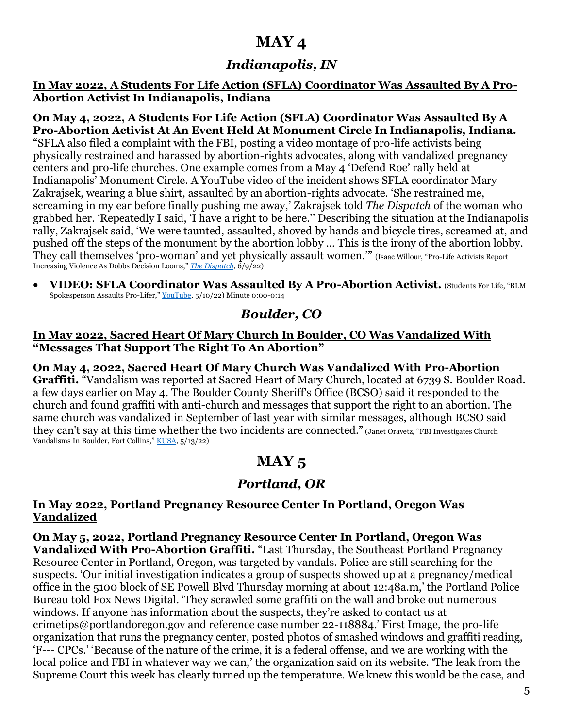# **MAY 4**

## *Indianapolis, IN*

**In May 2022, A Students For Life Action (SFLA) Coordinator Was Assaulted By A Pro-Abortion Activist In Indianapolis, Indiana**

**On May 4, 2022, A Students For Life Action (SFLA) Coordinator Was Assaulted By A Pro-Abortion Activist At An Event Held At Monument Circle In Indianapolis, Indiana.** "SFLA also filed a complaint with the FBI, posting a video montage of pro-life activists being physically restrained and harassed by abortion-rights advocates, along with vandalized pregnancy centers and pro-life churches. One example comes from a May 4 'Defend Roe' rally held at Indianapolis' Monument Circle. A YouTube video of the incident shows SFLA coordinator Mary Zakrajsek, wearing a blue shirt, assaulted by an abortion-rights advocate. 'She restrained me, screaming in my ear before finally pushing me away,' Zakrajsek told *The Dispatch* of the woman who grabbed her. 'Repeatedly I said, 'I have a right to be here.'' Describing the situation at the Indianapolis rally, Zakrajsek said, 'We were taunted, assaulted, shoved by hands and bicycle tires, screamed at, and pushed off the steps of the monument by the abortion lobby … This is the irony of the abortion lobby. They call themselves 'pro-woman' and yet physically assault women.'" (Isaac Willour, "Pro-Life Activists Report Increasing Violence As Dobbs Decision Looms," *[The Dispatch](https://thedispatch.com/p/pro-life-activists-report-increasing?s=w)*, 6/9/22)

• **VIDEO: SFLA Coordinator Was Assaulted By A Pro-Abortion Activist.** (Students For Life, "BLM Spokesperson Assaults Pro-Lifer," [YouTube,](https://youtu.be/ypaobLzToS8) 5/10/22) Minute 0:00-0:14

### *Boulder, CO*

#### **In May 2022, Sacred Heart Of Mary Church In Boulder, CO Was Vandalized With "Messages That Support The Right To An Abortion"**

**On May 4, 2022, Sacred Heart Of Mary Church Was Vandalized With Pro-Abortion Graffiti.** "Vandalism was reported at Sacred Heart of Mary Church, located at 6739 S. Boulder Road. a few days earlier on May 4. The Boulder County Sheriff's Office (BCSO) said it responded to the church and found graffiti with anti-church and messages that support the right to an abortion. The same church was vandalized in September of last year with similar messages, although BCSO said they can't say at this time whether the two incidents are connected." (Janet Oravetz, "FBI Investigates Church Vandalisms In Boulder, Fort Collins," [KUSA,](https://www.9news.com/article/news/local/fbi-church-vandalism-boulder-fort-collins/73-cb5d1efa-2f6e-4c70-8624-29246573435c) 5/13/22)

# **MAY 5**

# *Portland, OR*

#### **In May 2022, Portland Pregnancy Resource Center In Portland, Oregon Was Vandalized**

**On May 5, 2022, Portland Pregnancy Resource Center In Portland, Oregon Was Vandalized With Pro-Abortion Graffiti.** "Last Thursday, the Southeast Portland Pregnancy Resource Center in Portland, Oregon, was targeted by vandals. Police are still searching for the suspects. 'Our initial investigation indicates a group of suspects showed up at a pregnancy/medical office in the 5100 block of SE Powell Blvd Thursday morning at about 12:48a.m,' the Portland Police Bureau told Fox News Digital. 'They scrawled some graffiti on the wall and broke out numerous windows. If anyone has information about the suspects, they're asked to contact us at crimetips@portlandoregon.gov and reference case number 22-118884.' First Image, the pro-life organization that runs the pregnancy center, posted photos of smashed windows and graffiti reading, 'F--- CPCs.' 'Because of the nature of the crime, it is a federal offense, and we are working with the local police and FBI in whatever way we can,' the organization said on its website. 'The leak from the Supreme Court this week has clearly turned up the temperature. We knew this would be the case, and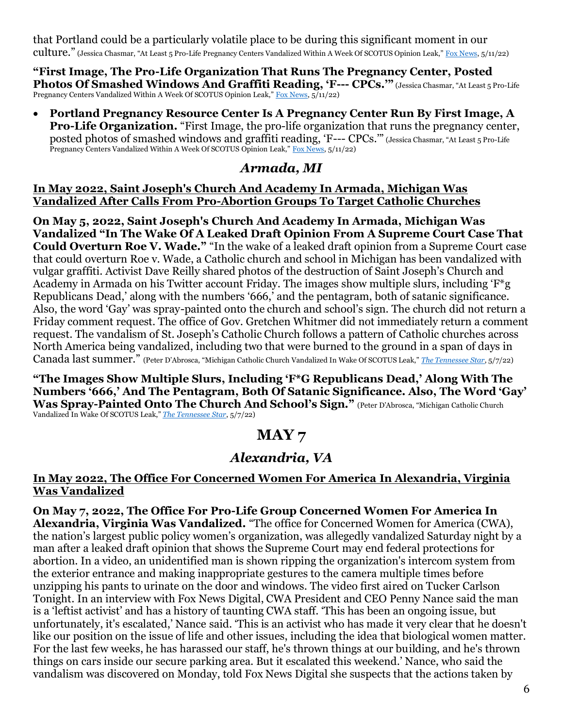that Portland could be a particularly volatile place to be during this significant moment in our culture." (Jessica Chasmar, "At Least 5 Pro-Life Pregnancy Centers Vandalized Within A Week Of SCOTUS Opinion Leak," [Fox News,](https://www.foxnews.com/politics/5-pro-life-pregnancy-centers-vandalized-scotus-leak) 5/11/22)

**"First Image, The Pro-Life Organization That Runs The Pregnancy Center, Posted Photos Of Smashed Windows And Graffiti Reading, 'F--- CPCs.'"** (Jessica Chasmar, "At Least 5 Pro-Life Pregnancy Centers Vandalized Within A Week Of SCOTUS Opinion Leak," [Fox News,](https://www.foxnews.com/politics/5-pro-life-pregnancy-centers-vandalized-scotus-leak) 5/11/22)

• **Portland Pregnancy Resource Center Is A Pregnancy Center Run By First Image, A Pro-Life Organization.** "First Image, the pro-life organization that runs the pregnancy center, posted photos of smashed windows and graffiti reading, 'F--- CPCs.'" (Jessica Chasmar, "At Least 5 Pro-Life Pregnancy Centers Vandalized Within A Week Of SCOTUS Opinion Leak," [Fox News,](https://www.foxnews.com/politics/5-pro-life-pregnancy-centers-vandalized-scotus-leak) 5/11/22)

### *Armada, MI*

#### **In May 2022, Saint Joseph's Church And Academy In Armada, Michigan Was Vandalized After Calls From Pro-Abortion Groups To Target Catholic Churches**

**On May 5, 2022, Saint Joseph's Church And Academy In Armada, Michigan Was Vandalized "In The Wake Of A Leaked Draft Opinion From A Supreme Court Case That Could Overturn Roe V. Wade."** "In the wake of a leaked draft opinion from a Supreme Court case that could overturn Roe v. Wade, a Catholic church and school in Michigan has been vandalized with vulgar graffiti. Activist Dave Reilly shared photos of the destruction of Saint Joseph's Church and Academy in Armada on his Twitter account Friday. The images show multiple slurs, including 'F\*g Republicans Dead,' along with the numbers '666,' and the pentagram, both of satanic significance. Also, the word 'Gay' was spray-painted onto the church and school's sign. The church did not return a Friday comment request. The office of Gov. Gretchen Whitmer did not immediately return a comment request. The vandalism of St. Joseph's Catholic Church follows a pattern of Catholic churches across North America being vandalized, including two that were burned to the ground in a span of days in Canada last summer." (Peter D'Abrosca, "Michigan Catholic Church Vandalized In Wake Of SCOTUS Leak," *[The Tennessee Star](https://tennesseestar.com/2022/05/07/michigan-catholic-church-vandalized-in-wake-of-scotus-leak/)*, 5/7/22)

**"The Images Show Multiple Slurs, Including 'F\*G Republicans Dead,' Along With The Numbers '666,' And The Pentagram, Both Of Satanic Significance. Also, The Word 'Gay' Was Spray-Painted Onto The Church And School's Sign."** (Peter D'Abrosca, "Michigan Catholic Church Vandalized In Wake Of SCOTUS Leak," *[The Tennessee Star](https://tennesseestar.com/2022/05/07/michigan-catholic-church-vandalized-in-wake-of-scotus-leak/)*, 5/7/22)

# **MAY 7**

# *Alexandria, VA*

#### **In May 2022, The Office For Concerned Women For America In Alexandria, Virginia Was Vandalized**

**On May 7, 2022, The Office For Pro-Life Group Concerned Women For America In Alexandria, Virginia Was Vandalized.** "The office for Concerned Women for America (CWA), the nation's largest public policy women's organization, was allegedly vandalized Saturday night by a man after a leaked draft opinion that shows the Supreme Court may end federal protections for abortion. In a video, an unidentified man is shown ripping the organization's intercom system from the exterior entrance and making inappropriate gestures to the camera multiple times before unzipping his pants to urinate on the door and windows. The video first aired on Tucker Carlson Tonight. In an interview with Fox News Digital, CWA President and CEO Penny Nance said the man is a 'leftist activist' and has a history of taunting CWA staff. 'This has been an ongoing issue, but unfortunately, it's escalated,' Nance said. 'This is an activist who has made it very clear that he doesn't like our position on the issue of life and other issues, including the idea that biological women matter. For the last few weeks, he has harassed our staff, he's thrown things at our building, and he's thrown things on cars inside our secure parking area. But it escalated this weekend.' Nance, who said the vandalism was discovered on Monday, told Fox News Digital she suspects that the actions taken by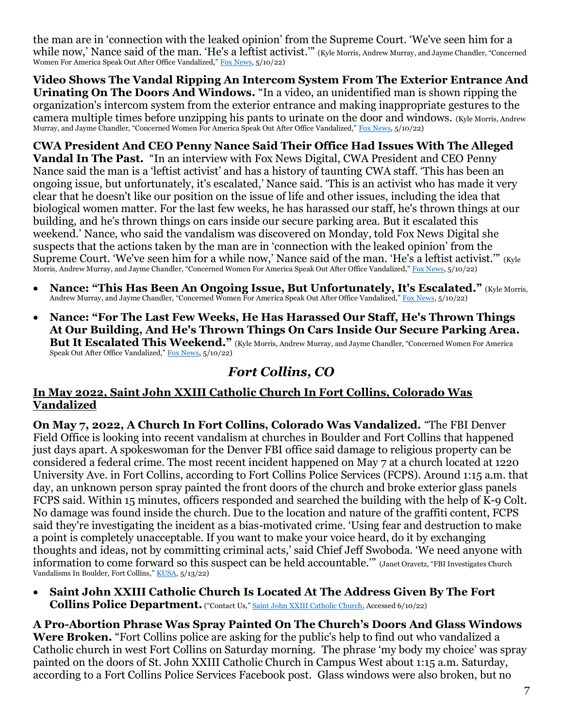the man are in 'connection with the leaked opinion' from the Supreme Court. 'We've seen him for a while now,' Nance said of the man. 'He's a leftist activist.'" (Kyle Morris, Andrew Murray, and Jayme Chandler, "Concerned Women For America Speak Out After Office Vandalized," [Fox News,](https://www.foxnews.com/politics/concerned-women-americas-office-vandalized-supreme-court-leak) 5/10/22)

**Video Shows The Vandal Ripping An Intercom System From The Exterior Entrance And Urinating On The Doors And Windows.** "In a video, an unidentified man is shown ripping the organization's intercom system from the exterior entrance and making inappropriate gestures to the camera multiple times before unzipping his pants to urinate on the door and windows. (Kyle Morris, Andrew Murray, and Jayme Chandler, "Concerned Women For America Speak Out After Office Vandalized," [Fox News,](https://www.foxnews.com/politics/concerned-women-americas-office-vandalized-supreme-court-leak) 5/10/22)

**CWA President And CEO Penny Nance Said Their Office Had Issues With The Alleged Vandal In The Past.** "In an interview with Fox News Digital, CWA President and CEO Penny Nance said the man is a 'leftist activist' and has a history of taunting CWA staff. 'This has been an ongoing issue, but unfortunately, it's escalated,' Nance said. 'This is an activist who has made it very clear that he doesn't like our position on the issue of life and other issues, including the idea that biological women matter. For the last few weeks, he has harassed our staff, he's thrown things at our building, and he's thrown things on cars inside our secure parking area. But it escalated this weekend.' Nance, who said the vandalism was discovered on Monday, told Fox News Digital she suspects that the actions taken by the man are in 'connection with the leaked opinion' from the Supreme Court. 'We've seen him for a while now,' Nance said of the man. 'He's a leftist activist.'" (Kyle Morris, Andrew Murray, and Jayme Chandler, "Concerned Women For America Speak Out After Office Vandalized," [Fox News,](https://www.foxnews.com/politics/concerned-women-americas-office-vandalized-supreme-court-leak) 5/10/22)

- **Nance: "This Has Been An Ongoing Issue, But Unfortunately, It's Escalated."** (Kyle Morris, Andrew Murray, and Jayme Chandler, "Concerned Women For America Speak Out After Office Vandalized," [Fox News,](https://www.foxnews.com/politics/concerned-women-americas-office-vandalized-supreme-court-leak) 5/10/22)
- **Nance: "For The Last Few Weeks, He Has Harassed Our Staff, He's Thrown Things At Our Building, And He's Thrown Things On Cars Inside Our Secure Parking Area. But It Escalated This Weekend."** (Kyle Morris, Andrew Murray, and Jayme Chandler, "Concerned Women For America Speak Out After Office Vandalized," [Fox News,](https://www.foxnews.com/politics/concerned-women-americas-office-vandalized-supreme-court-leak) 5/10/22)

### *Fort Collins, CO*

#### **In May 2022, Saint John XXIII Catholic Church In Fort Collins, Colorado Was Vandalized**

**On May 7, 2022, A Church In Fort Collins, Colorado Was Vandalized.** "The FBI Denver Field Office is looking into recent vandalism at churches in Boulder and Fort Collins that happened just days apart. A spokeswoman for the Denver FBI office said damage to religious property can be considered a federal crime. The most recent incident happened on May 7 at a church located at 1220 University Ave. in Fort Collins, according to Fort Collins Police Services (FCPS). Around 1:15 a.m. that day, an unknown person spray painted the front doors of the church and broke exterior glass panels FCPS said. Within 15 minutes, officers responded and searched the building with the help of K-9 Colt. No damage was found inside the church. Due to the location and nature of the graffiti content, FCPS said they're investigating the incident as a bias-motivated crime. 'Using fear and destruction to make a point is completely unacceptable. If you want to make your voice heard, do it by exchanging thoughts and ideas, not by committing criminal acts,' said Chief Jeff Swoboda. 'We need anyone with information to come forward so this suspect can be held accountable.'" (Janet Oravetz, "FBI Investigates Church Vandalisms In Boulder, Fort Collins," <u>KUSA</u>, 5/13/22)

• **Saint John XXIII Catholic Church Is Located At The Address Given By The Fort Collins Police Department.** ("Contact Us," [Saint John XXIII Catholic Church,](https://saintjohn.church/contact-us/) Accessed 6/10/22)

**A Pro-Abortion Phrase Was Spray Painted On The Church's Doors And Glass Windows Were Broken.** "Fort Collins police are asking for the public's help to find out who vandalized a Catholic church in west Fort Collins on Saturday morning. The phrase 'my body my choice' was spray painted on the doors of St. John XXIII Catholic Church in Campus West about 1:15 a.m. Saturday, according to a Fort Collins Police Services Facebook post. Glass windows were also broken, but no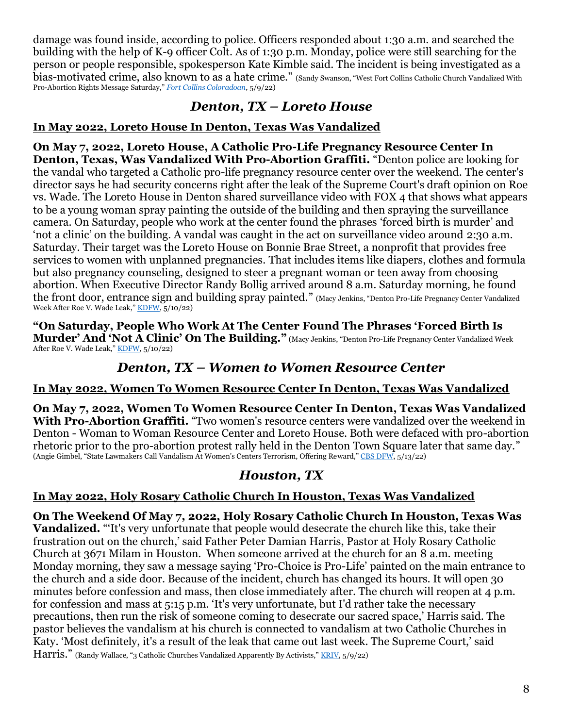damage was found inside, according to police. Officers responded about 1:30 a.m. and searched the building with the help of K-9 officer Colt. As of 1:30 p.m. Monday, police were still searching for the person or people responsible, spokesperson Kate Kimble said. The incident is being investigated as a bias-motivated crime, also known to as a hate crime." (Sandy Swanson, "West Fort Collins Catholic Church Vandalized With Pro-Abortion Rights Message Saturday," *[Fort Collins Coloradoan](https://www.coloradoan.com/story/news/2022/05/09/st-john-xxiii-church-fortcollins-vandalized-pro-abortion-rights-message/9703596002/)*, 5/9/22)

### *Denton, TX – Loreto House*

### **In May 2022, Loreto House In Denton, Texas Was Vandalized**

**On May 7, 2022, Loreto House, A Catholic Pro-Life Pregnancy Resource Center In Denton, Texas, Was Vandalized With Pro-Abortion Graffiti.** "Denton police are looking for the vandal who targeted a Catholic pro-life pregnancy resource center over the weekend. The center's director says he had security concerns right after the leak of the Supreme Court's draft opinion on Roe vs. Wade. The Loreto House in Denton shared surveillance video with FOX 4 that shows what appears to be a young woman spray painting the outside of the building and then spraying the surveillance camera. On Saturday, people who work at the center found the phrases 'forced birth is murder' and 'not a clinic' on the building. A vandal was caught in the act on surveillance video around 2:30 a.m. Saturday. Their target was the Loreto House on Bonnie Brae Street, a nonprofit that provides free services to women with unplanned pregnancies. That includes items like diapers, clothes and formula but also pregnancy counseling, designed to steer a pregnant woman or teen away from choosing abortion. When Executive Director Randy Bollig arrived around 8 a.m. Saturday morning, he found the front door, entrance sign and building spray painted." (Macy Jenkins, "Denton Pro-Life Pregnancy Center Vandalized Week After Roe V. Wade Leak," [KDFW,](https://www.fox4news.com/news/denton-pro-life-pregnancy-center-vandalized-week-after-roe-v-wade-leak) 5/10/22)

**"On Saturday, People Who Work At The Center Found The Phrases 'Forced Birth Is Murder' And 'Not A Clinic' On The Building."** (Macy Jenkins, "Denton Pro-Life Pregnancy Center Vandalized Week After Roe V. Wade Leak," [KDFW,](https://www.fox4news.com/news/denton-pro-life-pregnancy-center-vandalized-week-after-roe-v-wade-leak) 5/10/22)

### *Denton, TX – Women to Women Resource Center*

### **In May 2022, Women To Women Resource Center In Denton, Texas Was Vandalized**

**On May 7, 2022, Women To Women Resource Center In Denton, Texas Was Vandalized** With Pro-Abortion Graffiti. "Two women's resource centers were vandalized over the weekend in Denton - Woman to Woman Resource Center and Loreto House. Both were defaced with pro-abortion rhetoric prior to the pro-abortion protest rally held in the Denton Town Square later that same day." (Angie Gimbel, "State Lawmakers Call Vandalism At Women's Centers Terrorism, Offering Reward," [CBS DFW,](https://www.cbsnews.com/dfw/news/denton-womens-clinic-vandalized-with-pro-abortion-rights-graffiti/) 5/13/22)

### *Houston, TX*

### **In May 2022, Holy Rosary Catholic Church In Houston, Texas Was Vandalized**

**On The Weekend Of May 7, 2022, Holy Rosary Catholic Church In Houston, Texas Was Vandalized.** "'It's very unfortunate that people would desecrate the church like this, take their frustration out on the church,' said Father Peter Damian Harris, Pastor at Holy Rosary Catholic Church at 3671 Milam in Houston. When someone arrived at the church for an 8 a.m. meeting Monday morning, they saw a message saying 'Pro-Choice is Pro-Life' painted on the main entrance to the church and a side door. Because of the incident, church has changed its hours. It will open 30 minutes before confession and mass, then close immediately after. The church will reopen at 4 p.m. for confession and mass at 5:15 p.m. 'It's very unfortunate, but I'd rather take the necessary precautions, then run the risk of someone coming to desecrate our sacred space,' Harris said. The pastor believes the vandalism at his church is connected to vandalism at two Catholic Churches in Katy. 'Most definitely, it's a result of the leak that came out last week. The Supreme Court,' said Harris." (Randy Wallace, "3 Catholic Churches Vandalized Apparently By Activists," [KRIV,](https://www.fox26houston.com/news/3-catholic-churches-vandalized-apparently-by-activists) 5/9/22)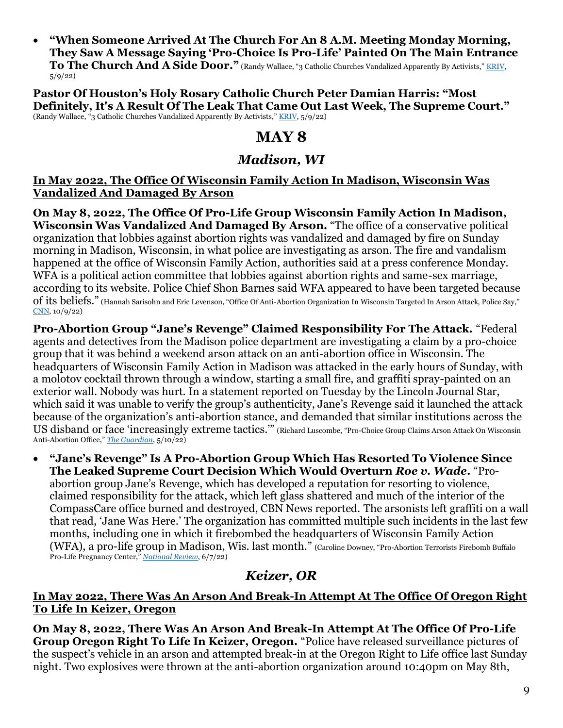• **"When Someone Arrived At The Church For An 8 A.M. Meeting Monday Morning, They Saw A Message Saying 'Pro-Choice Is Pro-Life' Painted On The Main Entrance To The Church And A Side Door."** (Randy Wallace, "3 Catholic Churches Vandalized Apparently By Activists," KRIV, 5/9/22)

**Pastor Of Houston's Holy Rosary Catholic Church Peter Damian Harris: "Most Definitely, It's A Result Of The Leak That Came Out Last Week, The Supreme Court."** (Randy Wallace, "3 Catholic Churches Vandalized Apparently By Activists," [KRIV,](https://www.fox26houston.com/news/3-catholic-churches-vandalized-apparently-by-activists) 5/9/22)

## **MAY 8**

### *Madison, WI*

#### **In May 2022, The Office Of Wisconsin Family Action In Madison, Wisconsin Was Vandalized And Damaged By Arson**

**On May 8, 2022, The Office Of Pro-Life Group Wisconsin Family Action In Madison, Wisconsin Was Vandalized And Damaged By Arson.** "The office of a conservative political organization that lobbies against abortion rights was vandalized and damaged by fire on Sunday morning in Madison, Wisconsin, in what police are investigating as arson. The fire and vandalism happened at the office of Wisconsin Family Action, authorities said at a press conference Monday. WFA is a political action committee that lobbies against abortion rights and same-sex marriage, according to its website. Police Chief Shon Barnes said WFA appeared to have been targeted because of its beliefs." (Hannah Sarisohn and Eric Levenson, "Office Of Anti-Abortion Organization In Wisconsin Targeted In Arson Attack, Police Say," [CNN,](https://www.cnn.com/2022/05/08/us/anti-abortion-office-arson/index.html) 10/9/22)

**Pro-Abortion Group "Jane's Revenge" Claimed Responsibility For The Attack.** "Federal agents and detectives from the Madison police department are investigating a claim by a pro-choice group that it was behind a weekend arson attack on an anti-abortion office in Wisconsin. The headquarters of Wisconsin Family Action in Madison was attacked in the early hours of Sunday, with a molotov cocktail thrown through a window, starting a small fire, and graffiti spray-painted on an exterior wall. Nobody was hurt. In a statement reported on Tuesday by the Lincoln Journal Star, which said it was unable to verify the group's authenticity, Jane's Revenge said it launched the attack because of the organization's anti-abortion stance, and demanded that similar institutions across the US disband or face 'increasingly extreme tactics.'" (Richard Luscombe, "Pro-Choice Group Claims Arson Attack On Wisconsin Anti-Abortion Office," *[The Guardian](https://www.theguardian.com/us-news/2022/may/10/abortion-arson-attack-wisconsin-pro-choice-janes-revenge)*, 5/10/22)

• **"Jane's Revenge" Is A Pro-Abortion Group Which Has Resorted To Violence Since The Leaked Supreme Court Decision Which Would Overturn** *Roe v. Wade***.** "Proabortion group Jane's Revenge, which has developed a reputation for resorting to violence, claimed responsibility for the attack, which left glass shattered and much of the interior of the CompassCare office burned and destroyed, CBN News reported. The arsonists left graffiti on a wall that read, 'Jane Was Here.' The organization has committed multiple such incidents in the last few months, including one in which it firebombed the headquarters of Wisconsin Family Action (WFA), a pro-life group in Madison, Wis. last month." (Caroline Downey, "Pro-Abortion Terrorists Firebomb Buffalo Pro-Life Pregnancy Center," *[National Review](https://www.nationalreview.com/news/pro-abortion-terrorists-firebomb-buffalo-pro-life-pregnancy-center/)*, 6/7/22)

# *Keizer, OR*

#### **In May 2022, There Was An Arson And Break-In Attempt At The Office Of Oregon Right To Life In Keizer, Oregon**

**On May 8, 2022, There Was An Arson And Break-In Attempt At The Office Of Pro-Life Group Oregon Right To Life In Keizer, Oregon.** "Police have released surveillance pictures of the suspect's vehicle in an arson and attempted break-in at the Oregon Right to Life office last Sunday night. Two explosives were thrown at the anti-abortion organization around 10:40pm on May 8th,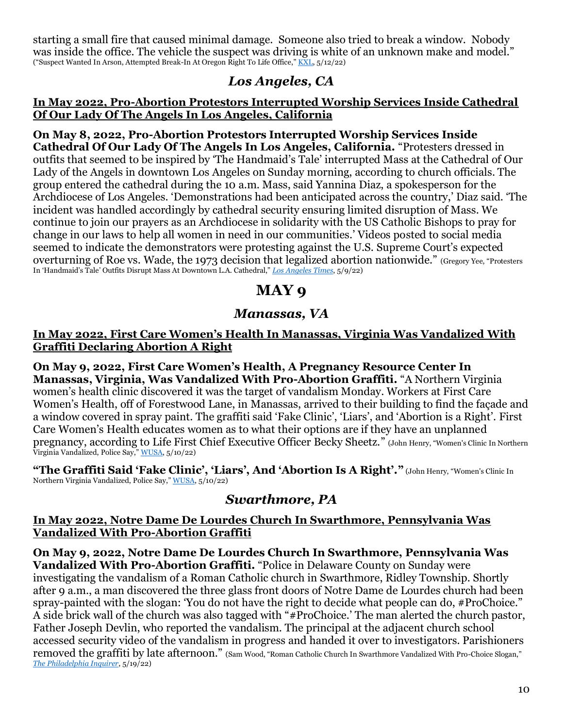starting a small fire that caused minimal damage. Someone also tried to break a window. Nobody was inside the office. The vehicle the suspect was driving is white of an unknown make and model." ("Suspect Wanted In Arson, Attempted Break-In At Oregon Right To Life Office," [KXL,](https://www.kxl.com/suspect-wanted-in-arson-attempted-break-in-at-oregon-right-to-life-office/) 5/12/22)

### *Los Angeles, CA*

#### **In May 2022, Pro-Abortion Protestors Interrupted Worship Services Inside Cathedral Of Our Lady Of The Angels In Los Angeles, California**

**On May 8, 2022, Pro-Abortion Protestors Interrupted Worship Services Inside Cathedral Of Our Lady Of The Angels In Los Angeles, California.** "Protesters dressed in outfits that seemed to be inspired by 'The Handmaid's Tale' interrupted Mass at the Cathedral of Our Lady of the Angels in downtown Los Angeles on Sunday morning, according to church officials. The group entered the cathedral during the 10 a.m. Mass, said Yannina Diaz, a spokesperson for the Archdiocese of Los Angeles. 'Demonstrations had been anticipated across the country,' Diaz said. 'The incident was handled accordingly by cathedral security ensuring limited disruption of Mass. We continue to join our prayers as an Archdiocese in solidarity with the US Catholic Bishops to pray for change in our laws to help all women in need in our communities.' Videos posted to social media seemed to indicate the demonstrators were protesting against the U.S. Supreme Court's expected overturning of Roe vs. Wade, the 1973 decision that legalized abortion nationwide." (Gregory Yee, "Protesters In 'Handmaid's Tale' Outfits Disrupt Mass At Downtown L.A. Cathedral," *[Los Angeles Times](https://www.latimes.com/california/story/2022-05-09/handmaids-tale-abortion-protesters-mass-los-angeles-cathedral)*, 5/9/22)

# **MAY 9**

### *Manassas, VA*

#### **In May 2022, First Care Women's Health In Manassas, Virginia Was Vandalized With Graffiti Declaring Abortion A Right**

**On May 9, 2022, First Care Women's Health, A Pregnancy Resource Center In Manassas, Virginia, Was Vandalized With Pro-Abortion Graffiti.** "A Northern Virginia women's health clinic discovered it was the target of vandalism Monday. Workers at First Care Women's Health, off of Forestwood Lane, in Manassas, arrived to their building to find the façade and a window covered in spray paint. The graffiti said 'Fake Clinic', 'Liars', and 'Abortion is a Right'. First Care Women's Health educates women as to what their options are if they have an unplanned pregnancy, according to Life First Chief Executive Officer Becky Sheetz." (John Henry, "Women's Clinic In Northern Virginia Vandalized, Police Say," [WUSA,](https://www.wusa9.com/article/news/crime/abortion-is-a-right-vandals-spray-graffiti-on-northern-va-womens-clinic/65-0d97a277-9768-4b39-9cee-3f6a1a08ec81) 5/10/22)

**"The Graffiti Said 'Fake Clinic', 'Liars', And 'Abortion Is A Right'."** (John Henry, "Women's Clinic In Northern Virginia Vandalized, Police Say," [WUSA,](https://www.wusa9.com/article/news/crime/abortion-is-a-right-vandals-spray-graffiti-on-northern-va-womens-clinic/65-0d97a277-9768-4b39-9cee-3f6a1a08ec81) 5/10/22)

### *Swarthmore, PA*

#### **In May 2022, Notre Dame De Lourdes Church In Swarthmore, Pennsylvania Was Vandalized With Pro-Abortion Graffiti**

**On May 9, 2022, Notre Dame De Lourdes Church In Swarthmore, Pennsylvania Was Vandalized With Pro-Abortion Graffiti.** "Police in Delaware County on Sunday were investigating the vandalism of a Roman Catholic church in Swarthmore, Ridley Township. Shortly after 9 a.m., a man discovered the three glass front doors of Notre Dame de Lourdes church had been spray-painted with the slogan: 'You do not have the right to decide what people can do, #ProChoice." A side brick wall of the church was also tagged with "#ProChoice.' The man alerted the church pastor, Father Joseph Devlin, who reported the vandalism. The principal at the adjacent church school accessed security video of the vandalism in progress and handed it over to investigators. Parishioners removed the graffiti by late afternoon." (Sam Wood, "Roman Catholic Church In Swarthmore Vandalized With Pro-Choice Slogan," *[The Philadelphia Inquirer](https://www.inquirer.com/news/catholic-church-vandalized-pro-choice-slogan-spray-pain-20190520.html)*, 5/19/22)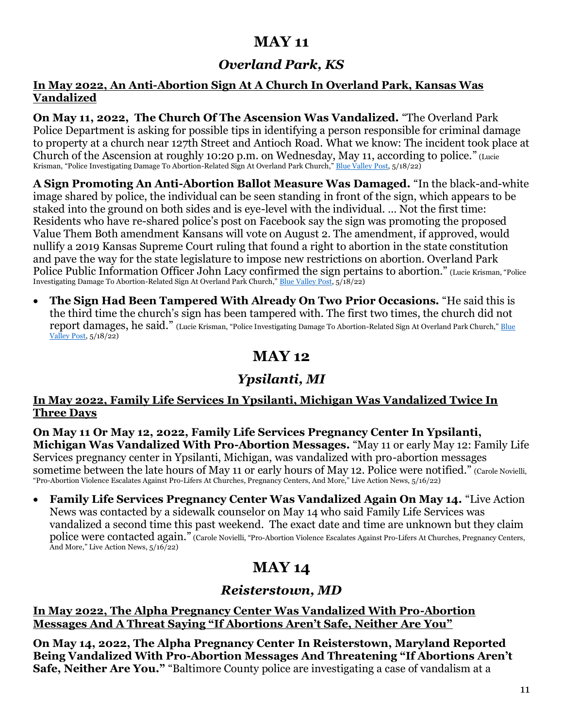# **MAY 11**

# *Overland Park, KS*

#### **In May 2022, An Anti-Abortion Sign At A Church In Overland Park, Kansas Was Vandalized**

**On May 11, 2022, The Church Of The Ascension Was Vandalized.** "The Overland Park Police Department is asking for possible tips in identifying a person responsible for criminal damage to property at a church near 127th Street and Antioch Road. What we know: The incident took place at Church of the Ascension at roughly 10:20 p.m. on Wednesday, May 11, according to police." (Lucie Krisman, "Police Investigating Damage To Abortion-Related Sign At Overland Park Church," [Blue Valley Post,](https://bluevalleypost.com/2022/05/18/overland-park-abortion-sign-damage-139622/) 5/18/22)

**A Sign Promoting An Anti-Abortion Ballot Measure Was Damaged.** "In the black-and-white image shared by police, the individual can be seen standing in front of the sign, which appears to be staked into the ground on both sides and is eve-level with the individual. ... Not the first time: Residents who have re-shared police's post on Facebook say the sign was promoting the proposed Value Them Both amendment Kansans will vote on August 2. The amendment, if approved, would nullify a 2019 Kansas Supreme Court ruling that found a right to abortion in the state constitution and pave the way for the state legislature to impose new restrictions on abortion. Overland Park Police Public Information Officer John Lacy confirmed the sign pertains to abortion." (Lucie Krisman, "Police Investigating Damage To Abortion-Related Sign At Overland Park Church," [Blue Valley Post,](https://bluevalleypost.com/2022/05/18/overland-park-abortion-sign-damage-139622/) 5/18/22)

• **The Sign Had Been Tampered With Already On Two Prior Occasions.** "He said this is the third time the church's sign has been tampered with. The first two times, the church did not report damages, he said." (Lucie Krisman, "Police Investigating Damage To Abortion-Related Sign At Overland Park Church," Blue [Valley Post,](https://bluevalleypost.com/2022/05/18/overland-park-abortion-sign-damage-139622/) 5/18/22)

# **MAY 12**

# *Ypsilanti, MI*

#### **In May 2022, Family Life Services In Ypsilanti, Michigan Was Vandalized Twice In Three Days**

**On May 11 Or May 12, 2022, Family Life Services Pregnancy Center In Ypsilanti, Michigan Was Vandalized With Pro-Abortion Messages.** "May 11 or early May 12: Family Life Services pregnancy center in Ypsilanti, Michigan, was vandalized with pro-abortion messages sometime between the late hours of May 11 or early hours of May 12. Police were notified." (Carole Novielli, "Pro-Abortion Violence Escalates Against Pro-Lifers At Churches, Pregnancy Centers, And More," Live Action News, 5/16/22)

• **Family Life Services Pregnancy Center Was Vandalized Again On May 14.** "Live Action News was contacted by a sidewalk counselor on May 14 who said Family Life Services was vandalized a second time this past weekend. The exact date and time are unknown but they claim police were contacted again." (Carole Novielli, "Pro-Abortion Violence Escalates Against Pro-Lifers At Churches, Pregnancy Centers, And More," Live Action News, 5/16/22)

# **MAY 14**

# *Reisterstown, MD*

#### **In May 2022, The Alpha Pregnancy Center Was Vandalized With Pro-Abortion Messages And A Threat Saying "If Abortions Aren't Safe, Neither Are You"**

**On May 14, 2022, The Alpha Pregnancy Center In Reisterstown, Maryland Reported Being Vandalized With Pro-Abortion Messages And Threatening "If Abortions Aren't Safe, Neither Are You."** "Baltimore County police are investigating a case of vandalism at a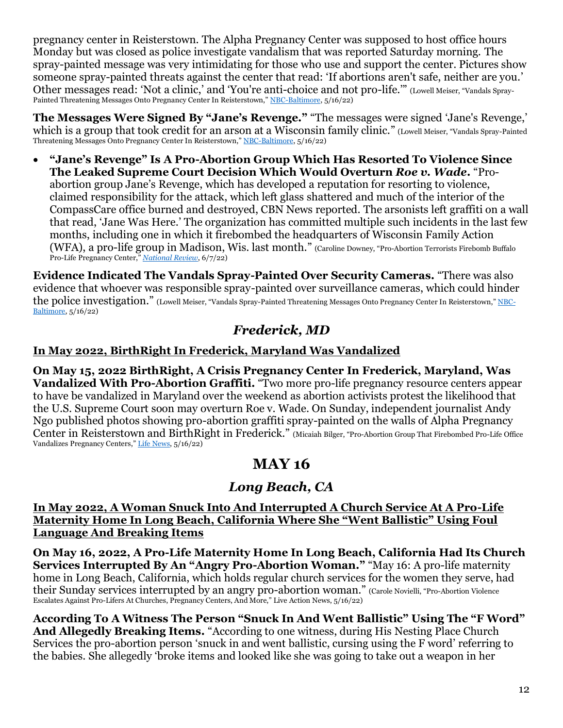pregnancy center in Reisterstown. The Alpha Pregnancy Center was supposed to host office hours Monday but was closed as police investigate vandalism that was reported Saturday morning. The spray-painted message was very intimidating for those who use and support the center. Pictures show someone spray-painted threats against the center that read: 'If abortions aren't safe, neither are you.' Other messages read: 'Not a clinic,' and 'You're anti-choice and not pro-life.'" (Lowell Meiser, "Vandals Spray-Painted Threatening Messages Onto Pregnancy Center In Reisterstown," [NBC-Baltimore,](https://www.wbaltv.com/article/alpha-pregnancy-center-vandalism/40012160) 5/16/22)

**The Messages Were Signed By "Jane's Revenge."** "The messages were signed 'Jane's Revenge,' which is a group that took credit for an arson at a Wisconsin family clinic." (Lowell Meiser, "Vandals Spray-Painted Threatening Messages Onto Pregnancy Center In Reisterstown," [NBC-Baltimore,](https://www.wbaltv.com/article/alpha-pregnancy-center-vandalism/40012160) 5/16/22)

• **"Jane's Revenge" Is A Pro-Abortion Group Which Has Resorted To Violence Since The Leaked Supreme Court Decision Which Would Overturn** *Roe v. Wade***.** "Proabortion group Jane's Revenge, which has developed a reputation for resorting to violence, claimed responsibility for the attack, which left glass shattered and much of the interior of the CompassCare office burned and destroyed, CBN News reported. The arsonists left graffiti on a wall that read, 'Jane Was Here.' The organization has committed multiple such incidents in the last few months, including one in which it firebombed the headquarters of Wisconsin Family Action (WFA), a pro-life group in Madison, Wis. last month." (Caroline Downey, "Pro-Abortion Terrorists Firebomb Buffalo Pro-Life Pregnancy Center," *[National Review](https://www.nationalreview.com/news/pro-abortion-terrorists-firebomb-buffalo-pro-life-pregnancy-center/)*, 6/7/22)

**Evidence Indicated The Vandals Spray-Painted Over Security Cameras.** "There was also evidence that whoever was responsible spray-painted over surveillance cameras, which could hinder the police investigation." (Lowell Meiser, "Vandals Spray-Painted Threatening Messages Onto Pregnancy Center In Reisterstown," [NBC-](https://www.wbaltv.com/article/alpha-pregnancy-center-vandalism/40012160)[Baltimore,](https://www.wbaltv.com/article/alpha-pregnancy-center-vandalism/40012160) 5/16/22)

### *Frederick, MD*

### **In May 2022, BirthRight In Frederick, Maryland Was Vandalized**

**On May 15, 2022 BirthRight, A Crisis Pregnancy Center In Frederick, Maryland, Was Vandalized With Pro-Abortion Graffiti.** "Two more pro-life pregnancy resource centers appear to have be vandalized in Maryland over the weekend as abortion activists protest the likelihood that the U.S. Supreme Court soon may overturn Roe v. Wade. On Sunday, independent journalist Andy Ngo published photos showing pro-abortion graffiti spray-painted on the walls of Alpha Pregnancy Center in Reisterstown and BirthRight in Frederick." (Micaiah Bilger, "Pro-Abortion Group That Firebombed Pro-Life Office Vandalizes Pregnancy Centers," [Life News,](https://www.lifenews.com/2022/05/16/pro-abortion-group-that-firebombed-pro-life-office-vandalizes-pregnancy-centers/) 5/16/22)

# **MAY 16**

# *Long Beach, CA*

#### **In May 2022, A Woman Snuck Into And Interrupted A Church Service At A Pro-Life Maternity Home In Long Beach, California Where She "Went Ballistic" Using Foul Language And Breaking Items**

**On May 16, 2022, A Pro-Life Maternity Home In Long Beach, California Had Its Church Services Interrupted By An "Angry Pro-Abortion Woman."** "May 16: A pro-life maternity home in Long Beach, California, which holds regular church services for the women they serve, had their Sunday services interrupted by an angry pro-abortion woman." (Carole Novielli, "Pro-Abortion Violence Escalates Against Pro-Lifers At Churches, Pregnancy Centers, And More," Live Action News, 5/16/22)

**According To A Witness The Person "Snuck In And Went Ballistic" Using The "F Word" And Allegedly Breaking Items.** "According to one witness, during His Nesting Place Church Services the pro-abortion person 'snuck in and went ballistic, cursing using the F word' referring to the babies. She allegedly 'broke items and looked like she was going to take out a weapon in her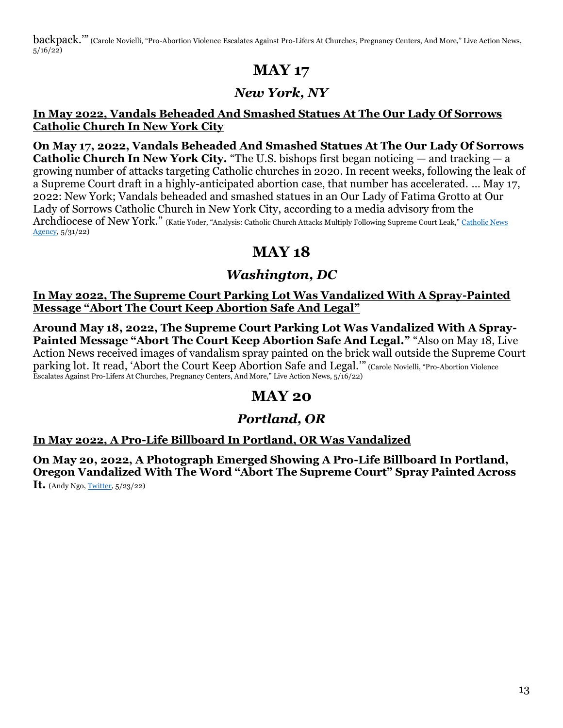backpack." (Carole Novielli, "Pro-Abortion Violence Escalates Against Pro-Lifers At Churches, Pregnancy Centers, And More," Live Action News,  $5/16/22$ 

# **MAY 17**

### *New York, NY*

#### **In May 2022, Vandals Beheaded And Smashed Statues At The Our Lady Of Sorrows Catholic Church In New York City**

**On May 17, 2022, Vandals Beheaded And Smashed Statues At The Our Lady Of Sorrows Catholic Church In New York City.** "The U.S. bishops first began noticing — and tracking — a growing number of attacks targeting Catholic churches in 2020. In recent weeks, following the leak of a Supreme Court draft in a highly-anticipated abortion case, that number has accelerated. … May 17, 2022: New York; Vandals beheaded and smashed statues in an Our Lady of Fatima Grotto at Our Lady of Sorrows Catholic Church in New York City, according to a media advisory from the Archdiocese of New York." (Katie Yoder, "Analysis: Catholic Church Attacks Multiply Following Supreme Court Leak," [Catholic News](https://www.catholicnewsagency.com/news/251421/analysis-catholic-church-attacks-multiply-following-supreme-court-leak)  [Agency,](https://www.catholicnewsagency.com/news/251421/analysis-catholic-church-attacks-multiply-following-supreme-court-leak) 5/31/22)

# **MAY 18**

## *Washington, DC*

**In May 2022, The Supreme Court Parking Lot Was Vandalized With A Spray-Painted Message "Abort The Court Keep Abortion Safe And Legal"**

**Around May 18, 2022, The Supreme Court Parking Lot Was Vandalized With A Spray-**Painted Message "Abort The Court Keep Abortion Safe And Legal." "Also on May 18, Live Action News received images of vandalism spray painted on the brick wall outside the Supreme Court parking lot. It read, 'Abort the Court Keep Abortion Safe and Legal.'" (Carole Novielli, "Pro-Abortion Violence Escalates Against Pro-Lifers At Churches, Pregnancy Centers, And More," Live Action News, 5/16/22)

# **MAY 20**

### *Portland, OR*

### **In May 2022, A Pro-Life Billboard In Portland, OR Was Vandalized**

**On May 20, 2022, A Photograph Emerged Showing A Pro-Life Billboard In Portland, Oregon Vandalized With The Word "Abort The Supreme Court" Spray Painted Across It.** (Andy Ngo[, Twitter,](https://twitter.com/GraffitiRadical/status/1527678878835101696) 5/23/22)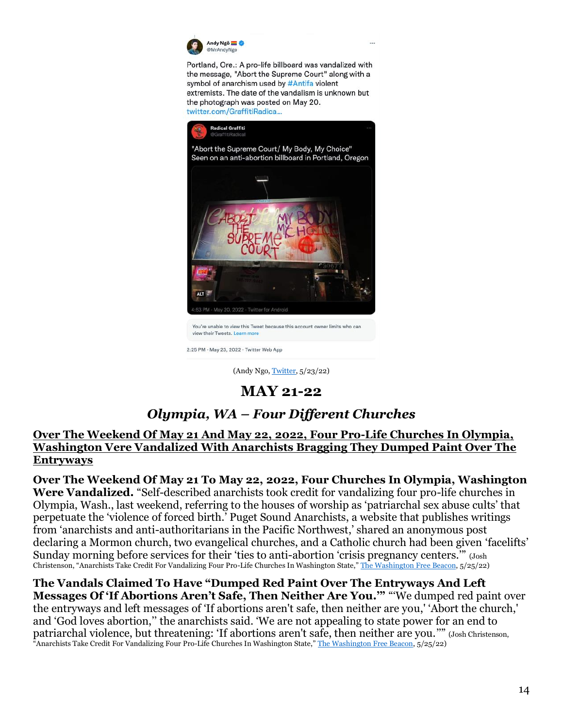

Portland, Ore.: A pro-life billboard was vandalized with the message, "Abort the Supreme Court" along with a symbol of anarchism used by #Antifa violent extremists. The date of the vandalism is unknown but the photograph was posted on May 20. twitter.com/GraffitiRadica...



2:25 PM - May 23, 2022 - Twitter Web App

(Andy Ngo, [Twitter,](https://twitter.com/GraffitiRadical/status/1527678878835101696) 5/23/22)

### **MAY 21-22**

### *Olympia, WA – Four Different Churches*

#### **Over The Weekend Of May 21 And May 22, 2022, Four Pro-Life Churches In Olympia, Washington Vere Vandalized With Anarchists Bragging They Dumped Paint Over The Entryways**

**Over The Weekend Of May 21 To May 22, 2022, Four Churches In Olympia, Washington Were Vandalized.** "Self-described anarchists took credit for vandalizing four pro-life churches in Olympia, Wash., last weekend, referring to the houses of worship as 'patriarchal sex abuse cults' that perpetuate the 'violence of forced birth.' Puget Sound Anarchists, a website that publishes writings from 'anarchists and anti-authoritarians in the Pacific Northwest,' shared an anonymous post declaring a Mormon church, two evangelical churches, and a Catholic church had been given 'facelifts' Sunday morning before services for their 'ties to anti-abortion 'crisis pregnancy centers.'" (Josh Christenson, "Anarchists Take Credit For Vandalizing Four Pro-Life Churches In Washington State," [The Washington Free Beacon,](https://freebeacon.com/latest-news/anarchists-take-credit-for-vandalizing-four-pro-life-churches-in-washington-state/) 5/25/22)

**The Vandals Claimed To Have "Dumped Red Paint Over The Entryways And Left Messages Of 'If Abortions Aren't Safe, Then Neither Are You.'"** "'We dumped red paint over the entryways and left messages of 'If abortions aren't safe, then neither are you,' 'Abort the church,' and 'God loves abortion,'' the anarchists said. 'We are not appealing to state power for an end to patriarchal violence, but threatening: 'If abortions aren't safe, then neither are you.''" (Josh Christenson, "Anarchists Take Credit For Vandalizing Four Pro-Life Churches In Washington State," [The Washington Free Beacon,](https://freebeacon.com/latest-news/anarchists-take-credit-for-vandalizing-four-pro-life-churches-in-washington-state/) 5/25/22)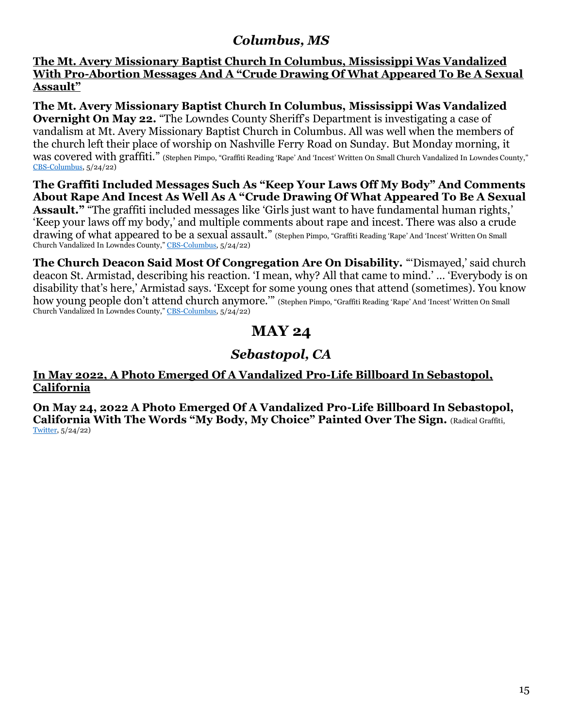### *Columbus, MS*

**The Mt. Avery Missionary Baptist Church In Columbus, Mississippi Was Vandalized With Pro-Abortion Messages And A "Crude Drawing Of What Appeared To Be A Sexual Assault"**

**The Mt. Avery Missionary Baptist Church In Columbus, Mississippi Was Vandalized Overnight On May 22.** "The Lowndes County Sheriff's Department is investigating a case of vandalism at Mt. Avery Missionary Baptist Church in Columbus. All was well when the members of the church left their place of worship on Nashville Ferry Road on Sunday. But Monday morning, it was covered with graffiti." (Stephen Pimpo, "Graffiti Reading 'Rape' And 'Incest' Written On Small Church Vandalized In Lowndes County," [CBS-Columbus,](https://www.wcbi.com/church-vandalized-columbus/) 5/24/22)

**The Graffiti Included Messages Such As "Keep Your Laws Off My Body" And Comments About Rape And Incest As Well As A "Crude Drawing Of What Appeared To Be A Sexual Assault."** "The graffiti included messages like 'Girls just want to have fundamental human rights,' 'Keep your laws off my body,' and multiple comments about rape and incest. There was also a crude drawing of what appeared to be a sexual assault." (Stephen Pimpo, "Graffiti Reading 'Rape' And 'Incest' Written On Small Church Vandalized In Lowndes County," [CBS-Columbus,](https://www.wcbi.com/church-vandalized-columbus/) 5/24/22)

**The Church Deacon Said Most Of Congregation Are On Disability.** "'Dismayed,' said church deacon St. Armistad, describing his reaction. 'I mean, why? All that came to mind.' … 'Everybody is on disability that's here,' Armistad says. 'Except for some young ones that attend (sometimes). You know how young people don't attend church anymore.'" (Stephen Pimpo, "Graffiti Reading 'Rape' And 'Incest' Written On Small Church Vandalized In Lowndes County," [CBS-Columbus,](https://www.wcbi.com/church-vandalized-columbus/) 5/24/22)

## **MAY 24**

### *Sebastopol, CA*

#### **In May 2022, A Photo Emerged Of A Vandalized Pro-Life Billboard In Sebastopol, California**

**On May 24, 2022 A Photo Emerged Of A Vandalized Pro-Life Billboard In Sebastopol, California With The Words "My Body, My Choice" Painted Over The Sign.** (Radical Graffiti, [Twitter,](https://twitter.com/GraffitiRadical/status/1529215906525589504) 5/24/22)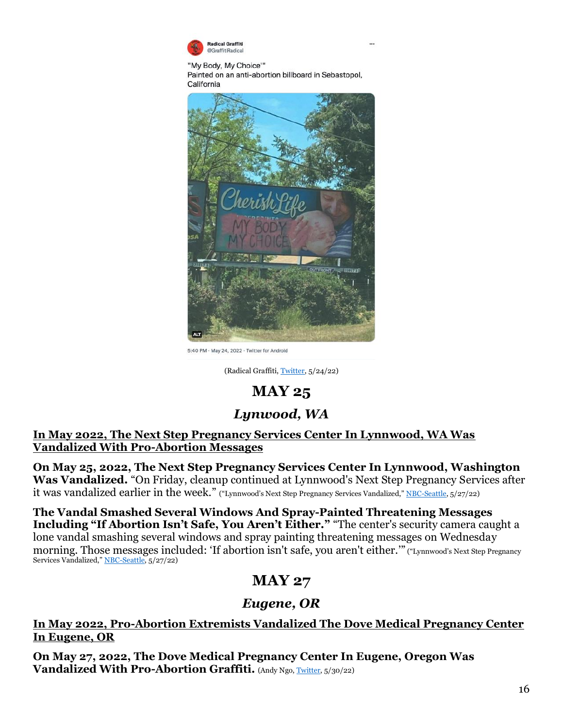

"My Body, My Choice'" Painted on an anti-abortion billboard in Sebastopol, California



5:40 PM · May 24, 2022 · Twitter for Android

(Radical Graffiti[, Twitter,](https://twitter.com/GraffitiRadical/status/1529215906525589504) 5/24/22)

### **MAY 25**

### *Lynwood, WA*

**In May 2022, The Next Step Pregnancy Services Center In Lynnwood, WA Was Vandalized With Pro-Abortion Messages**

**On May 25, 2022, The Next Step Pregnancy Services Center In Lynnwood, Washington Was Vandalized.** "On Friday, cleanup continued at Lynnwood's Next Step Pregnancy Services after it was vandalized earlier in the week." ("Lynnwood's Next Step Pregnancy Services Vandalized," [NBC-Seattle,](https://www.king5.com/article/news/crime/lynnwoods-next-step-pregnancy-services-vandalized/281-eac20492-8fa9-4f37-828a-cc846decb902) 5/27/22)

**The Vandal Smashed Several Windows And Spray-Painted Threatening Messages Including "If Abortion Isn't Safe, You Aren't Either."** "The center's security camera caught a lone vandal smashing several windows and spray painting threatening messages on Wednesday morning. Those messages included: 'If abortion isn't safe, you aren't either.'" ("Lynnwood's Next Step Pregnancy Services Vandalized," [NBC-Seattle,](https://www.king5.com/article/news/crime/lynnwoods-next-step-pregnancy-services-vandalized/281-eac20492-8fa9-4f37-828a-cc846decb902) 5/27/22)

# **MAY 27**

### *Eugene, OR*

#### **In May 2022, Pro-Abortion Extremists Vandalized The Dove Medical Pregnancy Center In Eugene, OR**

**On May 27, 2022, The Dove Medical Pregnancy Center In Eugene, Oregon Was Vandalized With Pro-Abortion Graffiti.** (Andy Ngo[, Twitter,](https://twitter.com/MrAndyNgo/status/1531427308669702145) 5/30/22)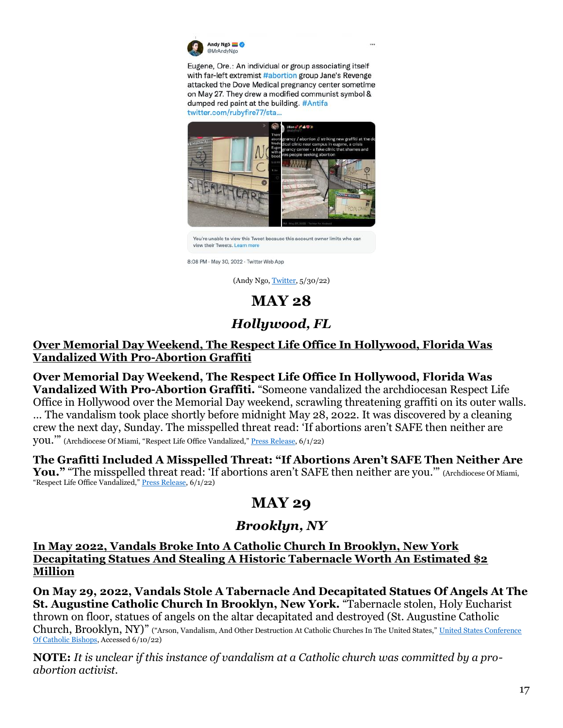

Eugene, Ore.: An individual or group associating itself with far-left extremist #abortion group Jane's Revenge attacked the Dove Medical pregnancy center sometime on May 27. They drew a modified communist symbol & dumped red paint at the building. #Antifa twitter.com/rubyfire77/sta...



You're unable to view this Tweet because this account owner limits who can view their Tweets. Learn mo

8:08 PM · May 30, 2022 · Twitter Web App

(Andy Ngo[, Twitter,](https://twitter.com/MrAndyNgo/status/1531427308669702145) 5/30/22)

# **MAY 28**

# *Hollywood, FL*

#### **Over Memorial Day Weekend, The Respect Life Office In Hollywood, Florida Was Vandalized With Pro-Abortion Graffiti**

**Over Memorial Day Weekend, The Respect Life Office In Hollywood, Florida Was Vandalized With Pro-Abortion Graffiti.** "Someone vandalized the archdiocesan Respect Life Office in Hollywood over the Memorial Day weekend, scrawling threatening graffiti on its outer walls. … The vandalism took place shortly before midnight May 28, 2022. It was discovered by a cleaning crew the next day, Sunday. The misspelled threat read: 'If abortions aren't SAFE then neither are you.'" (Archdiocese Of Miami, "Respect Life Office Vandalized," [Press Release,](https://www.miamiarch.org/CatholicDiocese.php?op=Article_archdiocese-of-miami-respect-life-office-vandalized) 6/1/22)

**The Grafitti Included A Misspelled Threat: "If Abortions Aren't SAFE Then Neither Are**  You." "The misspelled threat read: 'If abortions aren't SAFE then neither are you."" (Archdiocese Of Miami, "Respect Life Office Vandalized," [Press Release,](https://www.miamiarch.org/CatholicDiocese.php?op=Article_archdiocese-of-miami-respect-life-office-vandalized) 6/1/22)

# **MAY 29**

### *Brooklyn, NY*

**In May 2022, Vandals Broke Into A Catholic Church In Brooklyn, New York Decapitating Statues And Stealing A Historic Tabernacle Worth An Estimated \$2 Million**

**On May 29, 2022, Vandals Stole A Tabernacle And Decapitated Statues Of Angels At The St. Augustine Catholic Church In Brooklyn, New York.** "Tabernacle stolen, Holy Eucharist thrown on floor, statues of angels on the altar decapitated and destroyed (St. Augustine Catholic Church, Brooklyn, NY)" ("Arson, Vandalism, And Other Destruction At Catholic Churches In The United States," United States Conference [Of Catholic Bishops,](https://www.usccb.org/committees/religious-liberty/Backgrounder-Attacks-on-Catholic-Churches-in-US#tab--_022) Accessed 6/10/22)

**NOTE:** *It is unclear if this instance of vandalism at a Catholic church was committed by a proabortion activist.*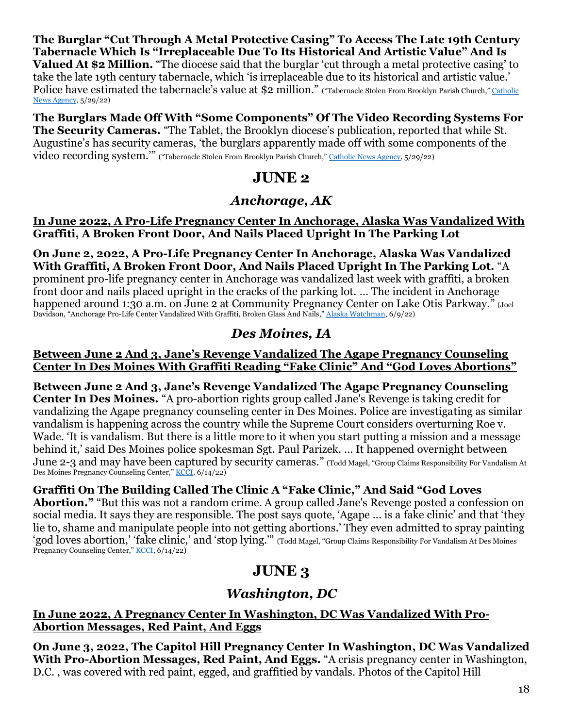**The Burglar "Cut Through A Metal Protective Casing" To Access The Late 19th Century Tabernacle Which Is "Irreplaceable Due To Its Historical And Artistic Value" And Is Valued At \$2 Million.** "The diocese said that the burglar 'cut through a metal protective casing' to take the late 19th century tabernacle, which 'is irreplaceable due to its historical and artistic value.' Police have estimated the tabernacle's value at \$2 million." ("Tabernacle Stolen From Brooklyn Parish Church," Catholic [News Agency,](https://www.catholicnewsagency.com/news/251406/tabernacle-stolen-from-brooklyn-parish-church) 5/29/22)

**The Burglars Made Off With "Some Components" Of The Video Recording Systems For The Security Cameras.** "The Tablet, the Brooklyn diocese's publication, reported that while St. Augustine's has security cameras, 'the burglars apparently made off with some components of the video recording system."" ("Tabernacle Stolen From Brooklyn Parish Church," [Catholic News Agency,](https://www.catholicnewsagency.com/news/251406/tabernacle-stolen-from-brooklyn-parish-church) 5/29/22)

## **JUNE 2**

### *Anchorage, AK*

#### **In June 2022, A Pro-Life Pregnancy Center In Anchorage, Alaska Was Vandalized With Graffiti, A Broken Front Door, And Nails Placed Upright In The Parking Lot**

**On June 2, 2022, A Pro-Life Pregnancy Center In Anchorage, Alaska Was Vandalized With Graffiti, A Broken Front Door, And Nails Placed Upright In The Parking Lot.** "A prominent pro-life pregnancy center in Anchorage was vandalized last week with graffiti, a broken front door and nails placed upright in the cracks of the parking lot. … The incident in Anchorage happened around 1:30 a.m. on June 2 at Community Pregnancy Center on Lake Otis Parkway." (Joel Davidson, "Anchorage Pro-Life Center Vandalized With Graffiti, Broken Glass And Nails," [Alaska Watchman,](https://alaskawatchman.com/2022/06/09/anchorage-pro-life-center-vandalized-with-graffiti-broken-glass-and-nails/) 6/9/22)

### *Des Moines, IA*

#### **Between June 2 And 3, Jane's Revenge Vandalized The Agape Pregnancy Counseling Center In Des Moines With Graffiti Reading "Fake Clinic" And "God Loves Abortions"**

**Between June 2 And 3, Jane's Revenge Vandalized The Agape Pregnancy Counseling Center In Des Moines.** "A pro-abortion rights group called Jane's Revenge is taking credit for vandalizing the Agape pregnancy counseling center in Des Moines. Police are investigating as similar vandalism is happening across the country while the Supreme Court considers overturning Roe v. Wade. 'It is vandalism. But there is a little more to it when you start putting a mission and a message behind it,' said Des Moines police spokesman Sgt. Paul Parizek. … It happened overnight between June 2-3 and may have been captured by security cameras." (Todd Magel, "Group Claims Responsibility For Vandalism At Des Moines Pregnancy Counseling Center," [KCCI,](https://www.kcci.com/article/des-moines-iowa-agape-pregnancy-counseling-center-vandalized/40278284) 6/14/22)

### **Graffiti On The Building Called The Clinic A "Fake Clinic," And Said "God Loves**

**Abortion."** "But this was not a random crime. A group called Jane's Revenge posted a confession on social media. It says they are responsible. The post says quote, 'Agape ... is a fake clinic' and that 'they lie to, shame and manipulate people into not getting abortions.' They even admitted to spray painting 'god loves abortion,' 'fake clinic,' and 'stop lying.'" (Todd Magel, "Group Claims Responsibility For Vandalism At Des Moines Pregnancy Counseling Center," [KCCI,](https://www.kcci.com/article/des-moines-iowa-agape-pregnancy-counseling-center-vandalized/40278284) 6/14/22)

# **JUNE 3**

### *Washington, DC*

#### **In June 2022, A Pregnancy Center In Washington, DC Was Vandalized With Pro-Abortion Messages, Red Paint, And Eggs**

**On June 3, 2022, The Capitol Hill Pregnancy Center In Washington, DC Was Vandalized With Pro-Abortion Messages, Red Paint, And Eggs.** "A crisis pregnancy center in Washington, D.C. , was covered with red paint, egged, and graffitied by vandals. Photos of the Capitol Hill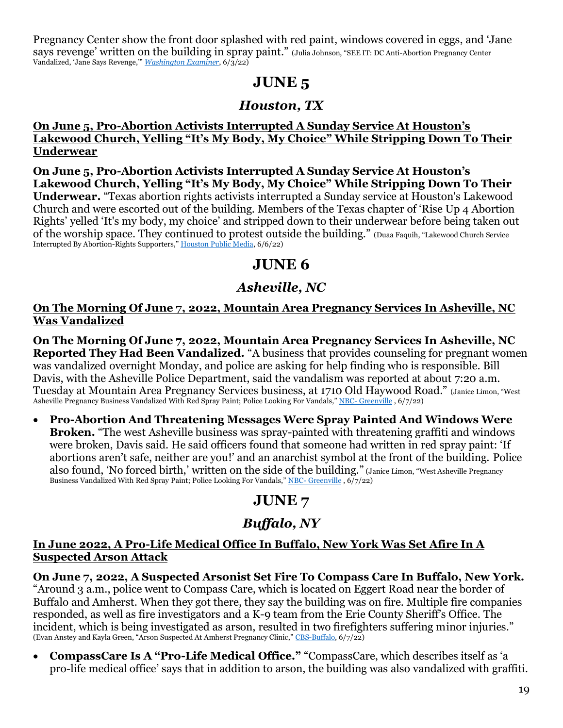Pregnancy Center show the front door splashed with red paint, windows covered in eggs, and 'Jane says revenge' written on the building in spray paint." (Julia Johnson, "SEE IT: DC Anti-Abortion Pregnancy Center Vandalized, 'Jane Says Revenge,'" *[Washington Examiner](https://www.washingtonexaminer.com/restoring-america/fairness-justice/see-it-dc-anti-abortion-pregnancy-center-vandalized-jane-says-revenge)*, 6/3/22)

# **JUNE 5**

## *Houston, TX*

#### **On June 5, Pro-Abortion Activists Interrupted A Sunday Service At Houston's Lakewood Church, Yelling "It's My Body, My Choice" While Stripping Down To Their Underwear**

**On June 5, Pro-Abortion Activists Interrupted A Sunday Service At Houston's Lakewood Church, Yelling "It's My Body, My Choice" While Stripping Down To Their Underwear.** "Texas abortion rights activists interrupted a Sunday service at Houston's Lakewood Church and were escorted out of the building. Members of the Texas chapter of 'Rise Up 4 Abortion Rights' yelled 'It's my body, my choice' and stripped down to their underwear before being taken out of the worship space. They continued to protest outside the building." (Duaa Faquih, "Lakewood Church Service Interrupted By Abortion-Rights Supporters," [Houston Public Media,](https://www.houstonpublicmedia.org/articles/news/houston/2022/06/06/426514/lakewood-church-service-interrupted-by-abortion-rights-supporters/) 6/6/22)

# **JUNE 6**

# *Asheville, NC*

### **On The Morning Of June 7, 2022, Mountain Area Pregnancy Services In Asheville, NC Was Vandalized**

**On The Morning Of June 7, 2022, Mountain Area Pregnancy Services In Asheville, NC Reported They Had Been Vandalized.** "A business that provides counseling for pregnant women was vandalized overnight Monday, and police are asking for help finding who is responsible. Bill Davis, with the Asheville Police Department, said the vandalism was reported at about 7:20 a.m. Tuesday at Mountain Area Pregnancy Services business, at 1710 Old Haywood Road." (Janice Limon, "West Asheville Pregnancy Business Vandalized With Red Spray Paint; Police Looking For Vandals," NBC- [Greenville](https://www.wyff4.com/article/asheville-pregnancy-service-vandals-bloody-trail/40218409), 6/7/22)

• **Pro-Abortion And Threatening Messages Were Spray Painted And Windows Were Broken.** "The west Asheville business was spray-painted with threatening graffiti and windows were broken, Davis said. He said officers found that someone had written in red spray paint: 'If abortions aren't safe, neither are you!' and an anarchist symbol at the front of the building. Police also found, 'No forced birth,' written on the side of the building." (Janice Limon, "West Asheville Pregnancy Business Vandalized With Red Spray Paint; Police Looking For Vandals," NBC- [Greenville](https://www.wyff4.com/article/asheville-pregnancy-service-vandals-bloody-trail/40218409), 6/7/22)

# **JUNE 7**

# *Buffalo, NY*

#### **In June 2022, A Pro-Life Medical Office In Buffalo, New York Was Set Afire In A Suspected Arson Attack**

**On June 7, 2022, A Suspected Arsonist Set Fire To Compass Care In Buffalo, New York.**  "Around 3 a.m., police went to Compass Care, which is located on Eggert Road near the border of Buffalo and Amherst. When they got there, they say the building was on fire. Multiple fire companies responded, as well as fire investigators and a K-9 team from the Erie County Sheriff's Office. The incident, which is being investigated as arson, resulted in two firefighters suffering minor injuries." (Evan Anstey and Kayla Green, "Arson Suspected At Amherst Pregnancy Clinic," [CBS-Buffalo,](https://www.wivb.com/news/local-news/erie-county/amherst/arson-suspected-at-amherst-pregnancy-clinic/) 6/7/22)

• **CompassCare Is A "Pro-Life Medical Office."** "CompassCare, which describes itself as 'a pro-life medical office' says that in addition to arson, the building was also vandalized with graffiti.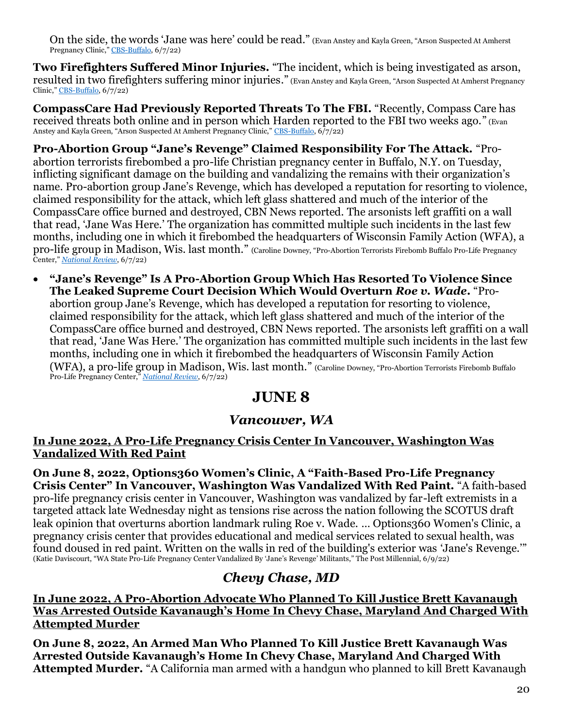On the side, the words 'Jane was here' could be read." (Evan Anstey and Kayla Green, "Arson Suspected At Amherst Pregnancy Clinic," [CBS-Buffalo,](https://www.wivb.com/news/local-news/erie-county/amherst/arson-suspected-at-amherst-pregnancy-clinic/) 6/7/22)

**Two Firefighters Suffered Minor Injuries.** "The incident, which is being investigated as arson, resulted in two firefighters suffering minor injuries." (Evan Anstey and Kayla Green, "Arson Suspected At Amherst Pregnancy Clinic," [CBS-Buffalo,](https://www.wivb.com/news/local-news/erie-county/amherst/arson-suspected-at-amherst-pregnancy-clinic/) 6/7/22)

**CompassCare Had Previously Reported Threats To The FBI.** "Recently, Compass Care has received threats both online and in person which Harden reported to the FBI two weeks ago." (Evan Anstey and Kayla Green, "Arson Suspected At Amherst Pregnancy Clinic," [CBS-Buffalo,](https://www.wivb.com/news/local-news/erie-county/amherst/arson-suspected-at-amherst-pregnancy-clinic/) 6/7/22)

**Pro-Abortion Group "Jane's Revenge" Claimed Responsibility For The Attack.** "Proabortion terrorists firebombed a pro-life Christian pregnancy center in Buffalo, N.Y. on Tuesday, inflicting significant damage on the building and vandalizing the remains with their organization's name. Pro-abortion group Jane's Revenge, which has developed a reputation for resorting to violence, claimed responsibility for the attack, which left glass shattered and much of the interior of the CompassCare office burned and destroyed, CBN News reported. The arsonists left graffiti on a wall that read, 'Jane Was Here.' The organization has committed multiple such incidents in the last few months, including one in which it firebombed the headquarters of Wisconsin Family Action (WFA), a pro-life group in Madison, Wis. last month." (Caroline Downey, "Pro-Abortion Terrorists Firebomb Buffalo Pro-Life Pregnancy Center," *[National Review](https://www.nationalreview.com/news/pro-abortion-terrorists-firebomb-buffalo-pro-life-pregnancy-center/)*, 6/7/22)

• **"Jane's Revenge" Is A Pro-Abortion Group Which Has Resorted To Violence Since The Leaked Supreme Court Decision Which Would Overturn** *Roe v. Wade***.** "Proabortion group Jane's Revenge, which has developed a reputation for resorting to violence, claimed responsibility for the attack, which left glass shattered and much of the interior of the CompassCare office burned and destroyed, CBN News reported. The arsonists left graffiti on a wall that read, 'Jane Was Here.' The organization has committed multiple such incidents in the last few months, including one in which it firebombed the headquarters of Wisconsin Family Action (WFA), a pro-life group in Madison, Wis. last month." (Caroline Downey, "Pro-Abortion Terrorists Firebomb Buffalo Pro-Life Pregnancy Center," *[National Review](https://www.nationalreview.com/news/pro-abortion-terrorists-firebomb-buffalo-pro-life-pregnancy-center/)*, 6/7/22)

# **JUNE 8**

### *Vancouver, WA*

#### **In June 2022, A Pro-Life Pregnancy Crisis Center In Vancouver, Washington Was Vandalized With Red Paint**

**On June 8, 2022, Options360 Women's Clinic, A "Faith-Based Pro-Life Pregnancy Crisis Center" In Vancouver, Washington Was Vandalized With Red Paint.** "A faith-based pro-life pregnancy crisis center in Vancouver, Washington was vandalized by far-left extremists in a targeted attack late Wednesday night as tensions rise across the nation following the SCOTUS draft leak opinion that overturns abortion landmark ruling Roe v. Wade. ... Options360 Women's Clinic, a pregnancy crisis center that provides educational and medical services related to sexual health, was found doused in red paint. Written on the walls in red of the building's exterior was 'Jane's Revenge.'" (Katie Daviscourt, "WA State Pro-Life Pregnancy Center Vandalized By 'Jane's Revenge' Militants," The Post Millennial, 6/9/22)

# *Chevy Chase, MD*

**In June 2022, A Pro-Abortion Advocate Who Planned To Kill Justice Brett Kavanaugh Was Arrested Outside Kavanaugh's Home In Chevy Chase, Maryland And Charged With Attempted Murder**

**On June 8, 2022, An Armed Man Who Planned To Kill Justice Brett Kavanaugh Was Arrested Outside Kavanaugh's Home In Chevy Chase, Maryland And Charged With Attempted Murder.** "A California man armed with a handgun who planned to kill Brett Kavanaugh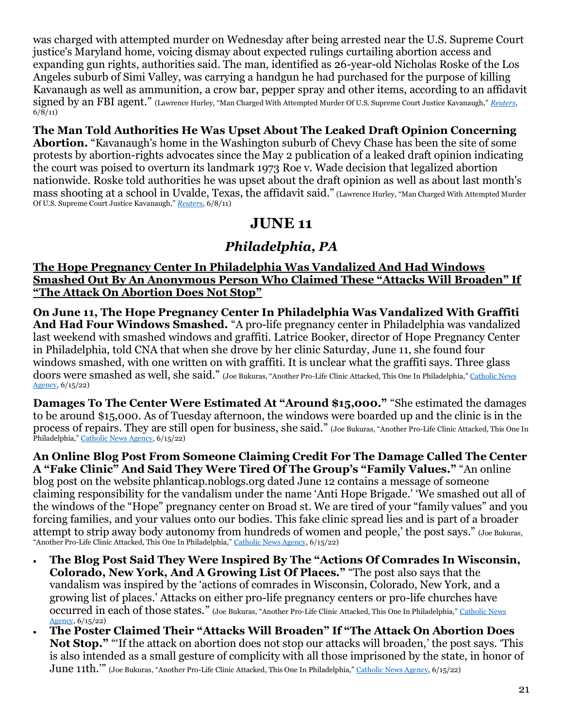was charged with attempted murder on Wednesday after being arrested near the U.S. Supreme Court justice's Maryland home, voicing dismay about expected rulings curtailing abortion access and expanding gun rights, authorities said. The man, identified as 26-year-old Nicholas Roske of the Los Angeles suburb of Simi Valley, was carrying a handgun he had purchased for the purpose of killing Kavanaugh as well as ammunition, a crow bar, pepper spray and other items, according to an affidavit signed by an FBI agent." (Lawrence Hurley, "Man Charged With Attempted Murder Of U.S. Supreme Court Justice Kavanaugh," *[Reuters](https://www.reuters.com/world/us/armed-man-arrested-near-home-us-supreme-court-justice-kavanaugh-2022-06-08/)*,  $6/\sqrt{8}/11$ 

### **The Man Told Authorities He Was Upset About The Leaked Draft Opinion Concerning**

**Abortion.** "Kavanaugh's home in the Washington suburb of Chevy Chase has been the site of some protests by abortion-rights advocates since the May 2 publication of a leaked draft opinion indicating the court was poised to overturn its landmark 1973 Roe v. Wade decision that legalized abortion nationwide. Roske told authorities he was upset about the draft opinion as well as about last month's mass shooting at a school in Uvalde, Texas, the affidavit said." (Lawrence Hurley, "Man Charged With Attempted Murder Of U.S. Supreme Court Justice Kavanaugh," *[Reuters](https://www.reuters.com/world/us/armed-man-arrested-near-home-us-supreme-court-justice-kavanaugh-2022-06-08/)*, 6/8/11)

## **JUNE 11**

### *Philadelphia, PA*

#### **The Hope Pregnancy Center In Philadelphia Was Vandalized And Had Windows Smashed Out By An Anonymous Person Who Claimed These "Attacks Will Broaden" If "The Attack On Abortion Does Not Stop"**

**On June 11, The Hope Pregnancy Center In Philadelphia Was Vandalized With Graffiti And Had Four Windows Smashed.** "A pro-life pregnancy center in Philadelphia was vandalized last weekend with smashed windows and graffiti. Latrice Booker, director of Hope Pregnancy Center in Philadelphia, told CNA that when she drove by her clinic Saturday, June 11, she found four windows smashed, with one written on with graffiti. It is unclear what the graffiti says. Three glass doors were smashed as well, she said." (Joe Bukuras, "Another Pro-Life Clinic Attacked, This One In Philadelphia," Catholic News [Agency,](https://www.catholicnewsagency.com/news/251546/philadelphia-pro-life-clinic-vandalized) 6/15/22)

**Damages To The Center Were Estimated At "Around \$15,000."** "She estimated the damages to be around \$15,000. As of Tuesday afternoon, the windows were boarded up and the clinic is in the process of repairs. They are still open for business, she said." (Joe Bukuras, "Another Pro-Life Clinic Attacked, This One In Philadelphia," [Catholic News Agency,](https://www.catholicnewsagency.com/news/251546/philadelphia-pro-life-clinic-vandalized) 6/15/22)

**An Online Blog Post From Someone Claiming Credit For The Damage Called The Center A "Fake Clinic" And Said They Were Tired Of The Group's "Family Values."** "An online blog post on the website phlanticap.noblogs.org dated June 12 contains a message of someone claiming responsibility for the vandalism under the name 'Anti Hope Brigade.' 'We smashed out all of the windows of the "Hope" pregnancy center on Broad st. We are tired of your "family values" and you forcing families, and your values onto our bodies. This fake clinic spread lies and is part of a broader attempt to strip away body autonomy from hundreds of women and people,' the post says." (Joe Bukuras, "Another Pro-Life Clinic Attacked, This One In Philadelphia," [Catholic News Agency,](https://www.catholicnewsagency.com/news/251546/philadelphia-pro-life-clinic-vandalized) 6/15/22)

- **The Blog Post Said They Were Inspired By The "Actions Of Comrades In Wisconsin, Colorado, New York, And A Growing List Of Places."** "The post also says that the vandalism was inspired by the 'actions of comrades in Wisconsin, Colorado, New York, and a growing list of places.' Attacks on either pro-life pregnancy centers or pro-life churches have occurred in each of those states." (Joe Bukuras, "Another Pro-Life Clinic Attacked, This One In Philadelphia," [Catholic News](https://www.catholicnewsagency.com/news/251546/philadelphia-pro-life-clinic-vandalized)  [Agency,](https://www.catholicnewsagency.com/news/251546/philadelphia-pro-life-clinic-vandalized) 6/15/22)
- **The Poster Claimed Their "Attacks Will Broaden" If "The Attack On Abortion Does Not Stop."** "'If the attack on abortion does not stop our attacks will broaden,' the post says. 'This is also intended as a small gesture of complicity with all those imprisoned by the state, in honor of June 11th.'" (Joe Bukuras, "Another Pro-Life Clinic Attacked, This One In Philadelphia," [Catholic News Agency,](https://www.catholicnewsagency.com/news/251546/philadelphia-pro-life-clinic-vandalized) 6/15/22)